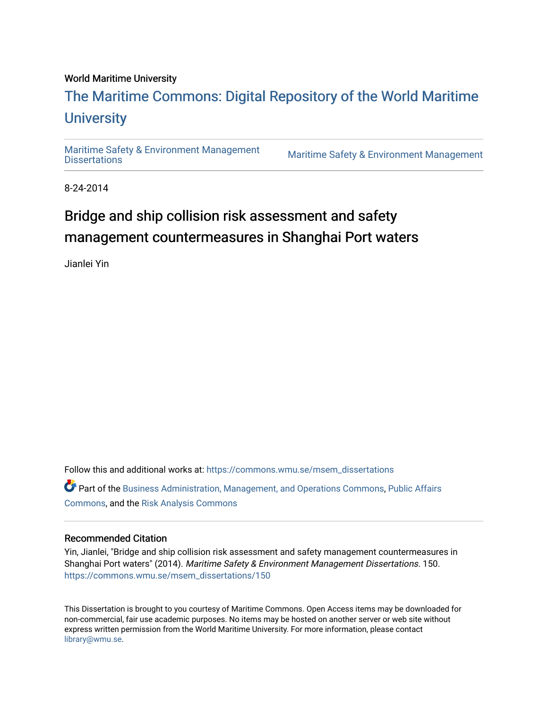### World Maritime University

# [The Maritime Commons: Digital Repository of the World Maritime](https://commons.wmu.se/)  **University**

[Maritime Safety & Environment Management](https://commons.wmu.se/msem_dissertations)

Maritime Safety & Environment Management

8-24-2014

# Bridge and ship collision risk assessment and safety management countermeasures in Shanghai Port waters

Jianlei Yin

Follow this and additional works at: [https://commons.wmu.se/msem\\_dissertations](https://commons.wmu.se/msem_dissertations?utm_source=commons.wmu.se%2Fmsem_dissertations%2F150&utm_medium=PDF&utm_campaign=PDFCoverPages)

Part of the [Business Administration, Management, and Operations Commons](http://network.bepress.com/hgg/discipline/623?utm_source=commons.wmu.se%2Fmsem_dissertations%2F150&utm_medium=PDF&utm_campaign=PDFCoverPages), [Public Affairs](http://network.bepress.com/hgg/discipline/399?utm_source=commons.wmu.se%2Fmsem_dissertations%2F150&utm_medium=PDF&utm_campaign=PDFCoverPages)  [Commons](http://network.bepress.com/hgg/discipline/399?utm_source=commons.wmu.se%2Fmsem_dissertations%2F150&utm_medium=PDF&utm_campaign=PDFCoverPages), and the [Risk Analysis Commons](http://network.bepress.com/hgg/discipline/1199?utm_source=commons.wmu.se%2Fmsem_dissertations%2F150&utm_medium=PDF&utm_campaign=PDFCoverPages)

## Recommended Citation

Yin, Jianlei, "Bridge and ship collision risk assessment and safety management countermeasures in Shanghai Port waters" (2014). Maritime Safety & Environment Management Dissertations. 150. [https://commons.wmu.se/msem\\_dissertations/150](https://commons.wmu.se/msem_dissertations/150?utm_source=commons.wmu.se%2Fmsem_dissertations%2F150&utm_medium=PDF&utm_campaign=PDFCoverPages)

This Dissertation is brought to you courtesy of Maritime Commons. Open Access items may be downloaded for non-commercial, fair use academic purposes. No items may be hosted on another server or web site without express written permission from the World Maritime University. For more information, please contact [library@wmu.se](mailto:library@wmu.edu).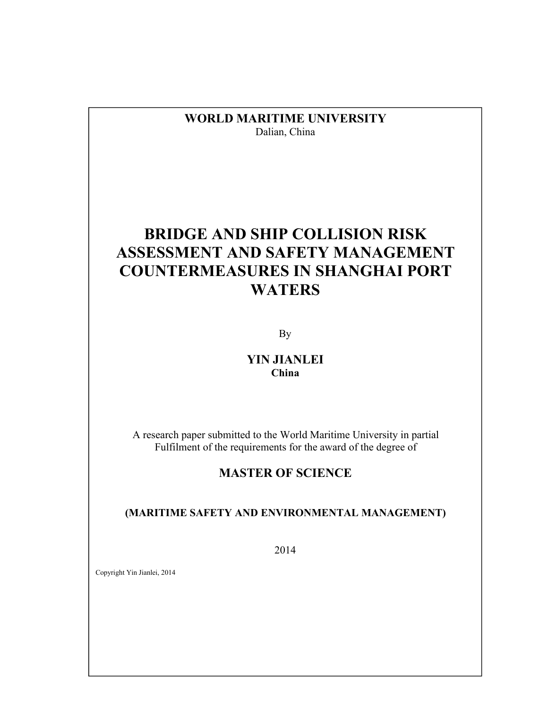**WORLD MARITIME UNIVERSITY** Dalian, China

# **BRIDGE AND SHIP COLLISION RISK ASSESSMENT AND SAFETY MANAGEMENT COUNTERMEASURES IN SHANGHAI PORT WATERS**

By

## **YIN JIANLEI China**

A research paper submitted to the World Maritime University in partial Fulfilment of the requirements for the award of the degree of

## **MASTER OF SCIENCE**

**(MARITIME SAFETY AND ENVIRONMENTAL MANAGEMENT)**

2014

 $\mathcal{L}(\mathcal{L})=\mathcal{L}(\mathcal{L})$ 

Copyright Yin Jianlei, 2014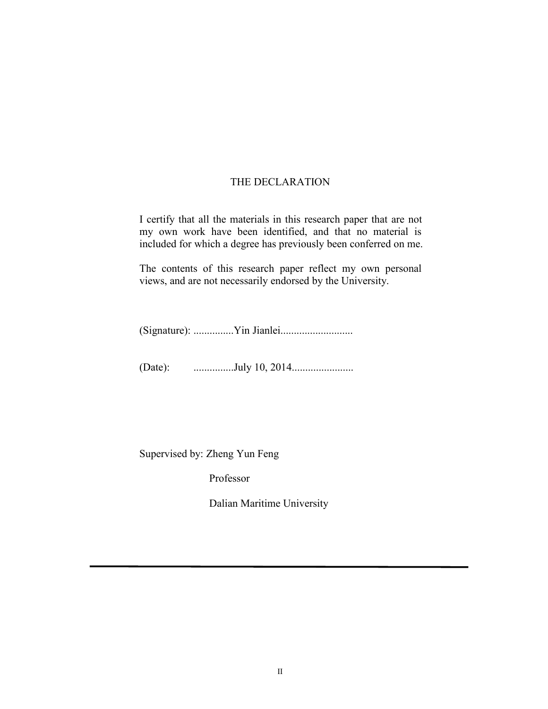## THE DECLARATION

I certify that all the materials in this research paper that are not my own work have been identified, and that no material is included for which a degree has previously been conferred on me.

The contents of this research paper reflect my own personal views, and are not necessarily endorsed by the University.

(Signature): ...............Yin Jianlei...........................

(Date): ...............July 10, 2014.......................

Supervised by: Zheng Yun Feng

Professor

Dalian Maritime University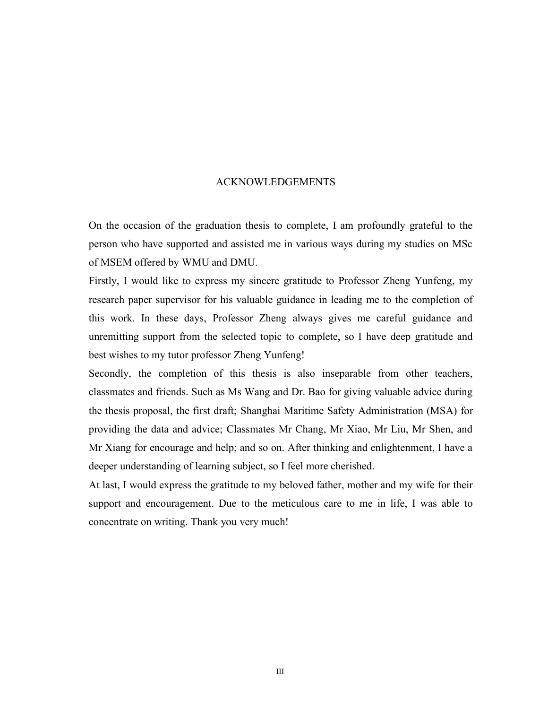#### ACKNOWLEDGEMENTS

On the occasion of the graduation thesis to complete, I am profoundly grateful to the person who have supported and assisted me in various ways during my studies on MSc of MSEM offered by WMU and DMU.

Firstly, I would like to express my sincere gratitude to Professor Zheng Yunfeng, my research paper supervisor for his valuable guidance in leading me to the completion of this work. In these days, Professor Zheng always gives me careful guidance and unremitting support from the selected topic to complete, so I have deep gratitude and best wishes to my tutor professor Zheng Yunfeng!

Secondly, the completion of this thesis is also inseparable from other teachers, classmates and friends. Such as Ms Wang and Dr. Bao for giving valuable advice during the thesis proposal, the first draft; Shanghai Maritime Safety Administration (MSA) for providing the data and advice; Classmates Mr Chang, Mr Xiao, Mr Liu, Mr Shen, and Mr Xiang for encourage and help; and so on. After thinking and enlightenment, I have a deeper understanding of learning subject, so I feel more cherished.

At last, I would express the gratitude to my beloved father, mother and my wife for their support and encouragement. Due to the meticulous care to me in life, I was able to concentrate on writing. Thank you very much!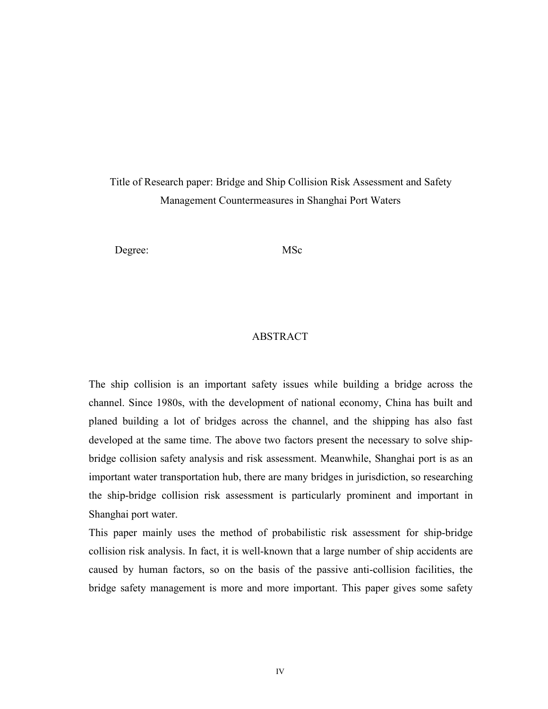## Title of Research paper: Bridge and Ship Collision Risk Assessment and Safety Management Countermeasures in Shanghai Port Waters

Degree: MSc

### ABSTRACT

The ship collision is an important safety issues while building a bridge across the channel. Since 1980s, with the development of national economy, China has built and planed building a lot of bridges across the channel, and the shipping has also fast developed at the same time. The above two factors present the necessary to solve shipbridge collision safety analysis and risk assessment. Meanwhile, Shanghai port is as an important water transportation hub, there are many bridges in jurisdiction, so researching the ship-bridge collision risk assessment is particularly prominent and important in Shanghai port water.

This paper mainly uses the method of probabilistic risk assessment for ship-bridge collision risk analysis. In fact, it is well-known that a large number of ship accidents are caused by human factors, so on the basis of the passive anti-collision facilities, the bridge safety management is more and more important. This paper gives some safety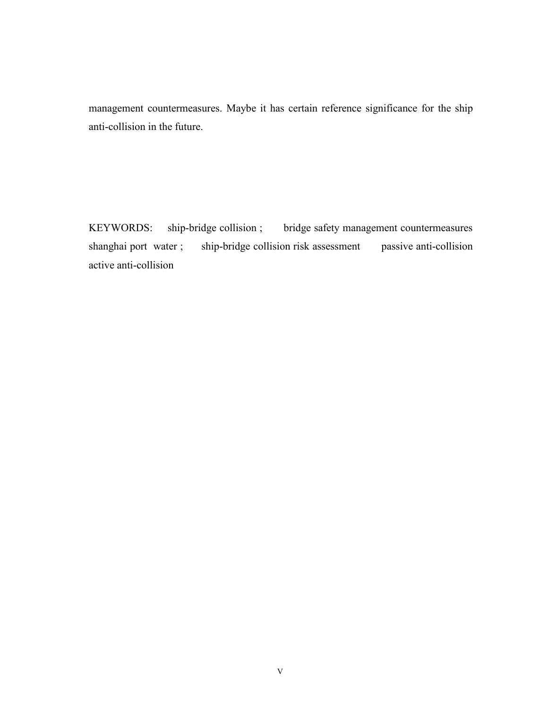management countermeasures. Maybe it has certain reference significance for the ship anti-collision in the future.

KEYWORDS: ship-bridge collision ; bridge safety management countermeasures shanghai port water; ship-bridge collision risk assessment passive anti-collision active anti-collision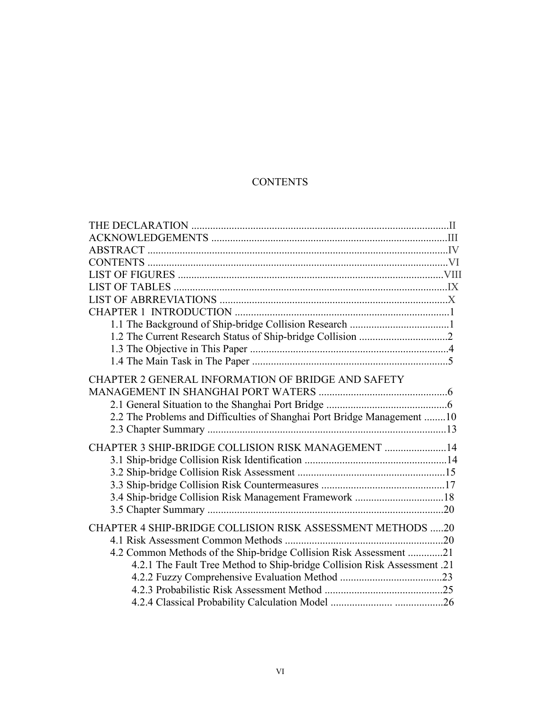## **CONTENTS**

| CHAPTER 2 GENERAL INFORMATION OF BRIDGE AND SAFETY                       |
|--------------------------------------------------------------------------|
|                                                                          |
|                                                                          |
| 2.2 The Problems and Difficulties of Shanghai Port Bridge Management 10  |
|                                                                          |
|                                                                          |
| CHAPTER 3 SHIP-BRIDGE COLLISION RISK MANAGEMENT  14                      |
|                                                                          |
|                                                                          |
|                                                                          |
|                                                                          |
|                                                                          |
| CHAPTER 4 SHIP-BRIDGE COLLISION RISK ASSESSMENT METHODS 20               |
|                                                                          |
| 4.2 Common Methods of the Ship-bridge Collision Risk Assessment 21       |
| 4.2.1 The Fault Tree Method to Ship-bridge Collision Risk Assessment .21 |
|                                                                          |
|                                                                          |
|                                                                          |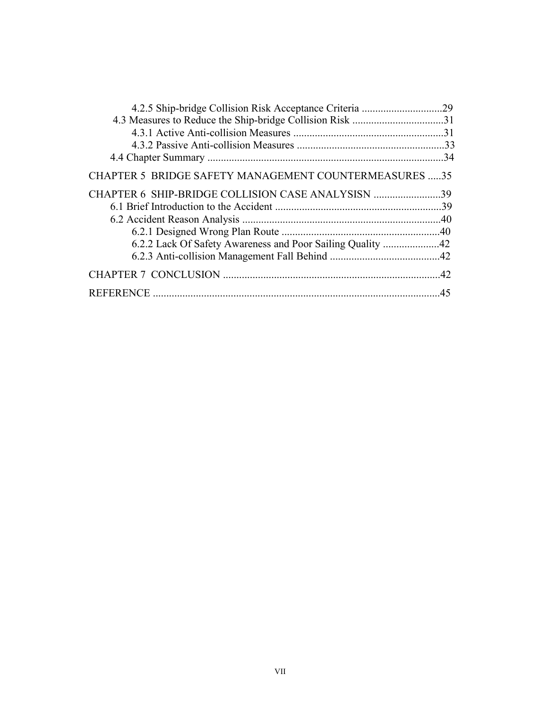| <b>CHAPTER 5 BRIDGE SAFETY MANAGEMENT COUNTERMEASURES 35</b> |  |
|--------------------------------------------------------------|--|
| CHAPTER 6 SHIP-BRIDGE COLLISION CASE ANALYSISN 39            |  |
|                                                              |  |
|                                                              |  |
|                                                              |  |
|                                                              |  |
|                                                              |  |
|                                                              |  |
|                                                              |  |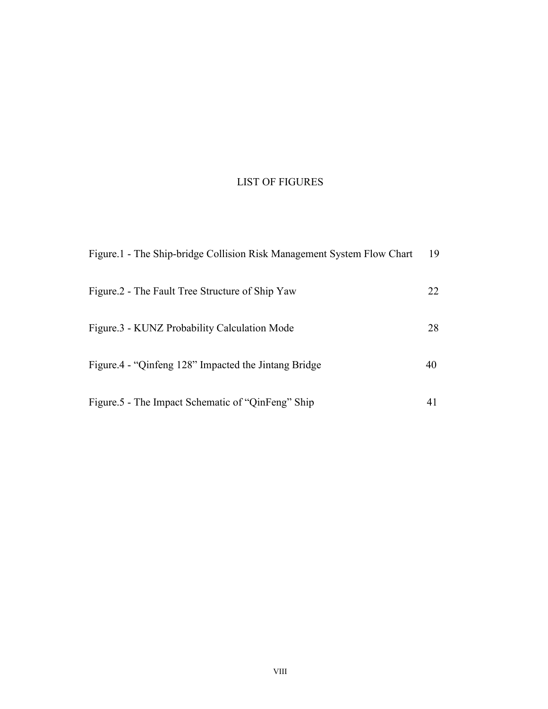## LIST OF FIGURES

| Figure.1 - The Ship-bridge Collision Risk Management System Flow Chart | 19 |
|------------------------------------------------------------------------|----|
| Figure.2 - The Fault Tree Structure of Ship Yaw                        | 22 |
| Figure.3 - KUNZ Probability Calculation Mode                           | 28 |
| Figure.4 - "Qinfeng 128" Impacted the Jintang Bridge                   | 40 |
| Figure 5 - The Impact Schematic of "QinFeng" Ship                      | 41 |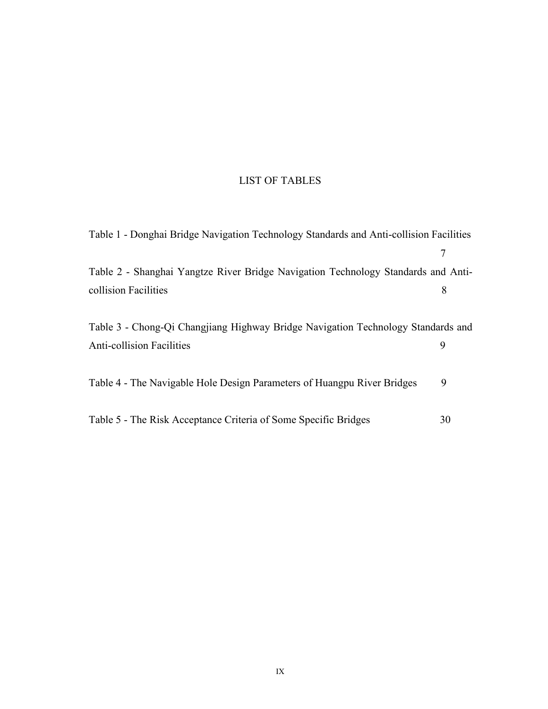## LIST OF TABLES

| Table 1 - Donghai Bridge Navigation Technology Standards and Anti-collision Facilities |    |
|----------------------------------------------------------------------------------------|----|
|                                                                                        | 7  |
| Table 2 - Shanghai Yangtze River Bridge Navigation Technology Standards and Anti-      |    |
| collision Facilities                                                                   | 8  |
|                                                                                        |    |
| Table 3 - Chong-Qi Changjiang Highway Bridge Navigation Technology Standards and       |    |
| <b>Anti-collision Facilities</b>                                                       | 9  |
|                                                                                        |    |
| Table 4 - The Navigable Hole Design Parameters of Huangpu River Bridges                | 9  |
|                                                                                        |    |
| Table 5 - The Risk Acceptance Criteria of Some Specific Bridges                        | 30 |
|                                                                                        |    |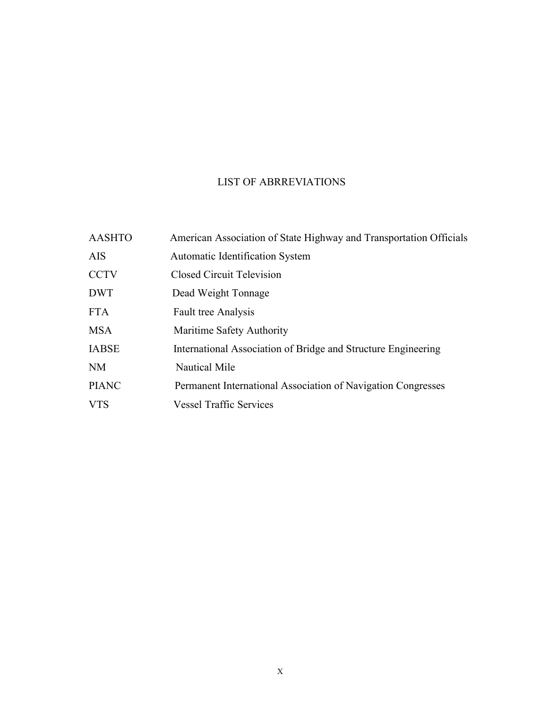## LIST OF ABRREVIATIONS

| <b>AASHTO</b> | American Association of State Highway and Transportation Officials |
|---------------|--------------------------------------------------------------------|
| <b>AIS</b>    | <b>Automatic Identification System</b>                             |
| <b>CCTV</b>   | Closed Circuit Television                                          |
| <b>DWT</b>    | Dead Weight Tonnage                                                |
| <b>FTA</b>    | <b>Fault tree Analysis</b>                                         |
| <b>MSA</b>    | Maritime Safety Authority                                          |
| <b>IABSE</b>  | International Association of Bridge and Structure Engineering      |
| NM            | <b>Nautical Mile</b>                                               |
| <b>PIANC</b>  | Permanent International Association of Navigation Congresses       |
| <b>VTS</b>    | <b>Vessel Traffic Services</b>                                     |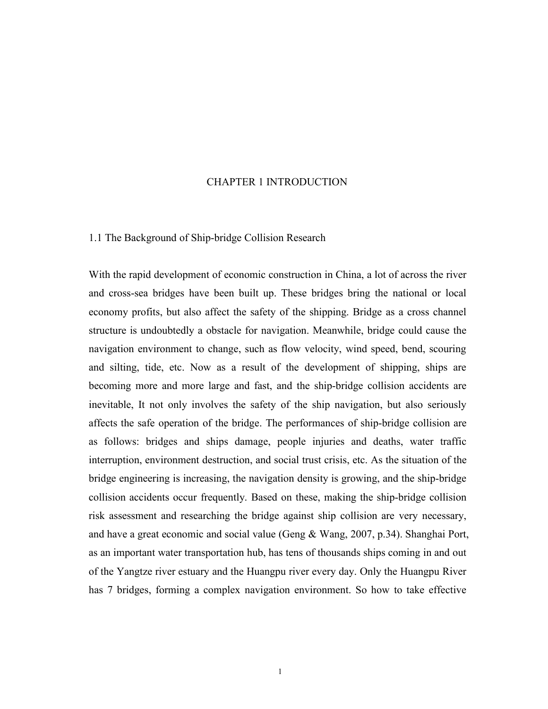#### CHAPTER 1 INTRODUCTION

#### 1.1 The Background of Ship-bridge Collision Research

With the rapid development of economic construction in China, a lot of across the river and cross-sea bridges have been built up. These bridges bring the national or local economy profits, but also affect the safety of the shipping. Bridge as a cross channel structure isundoubtedly a obstacle for navigation. Meanwhile, bridge could cause the navigation environment to change, such as flow velocity, wind speed, bend, scouring and silting, tide, etc. Now as a result of the development of shipping, ships are becoming more and more large and fast, and the ship-bridge collision accidents are inevitable, It not only involves the safety of the ship navigation, but also seriously affects the safe operation of the bridge. The performances of ship-bridge collision are as follows: bridges and ships damage, people injuries and deaths, water traffic interruption, environment destruction, and social trust crisis, etc. As the situation of the bridge engineering is increasing, the navigation density is growing, and the ship-bridge collision accidents occur frequently. Based on these, making the ship-bridge collision risk assessment and researching the bridge against ship collision are very necessary, and have a great economic and social value (Geng & Wang, 2007, p.34). Shanghai Port, as an important water transportation hub, has tens of thousands ships coming in and out of the Yangtze river estuary and the Huangpu river every day. Only the Huangpu River has 7 bridges, forming a complex navigation environment. So how to take effective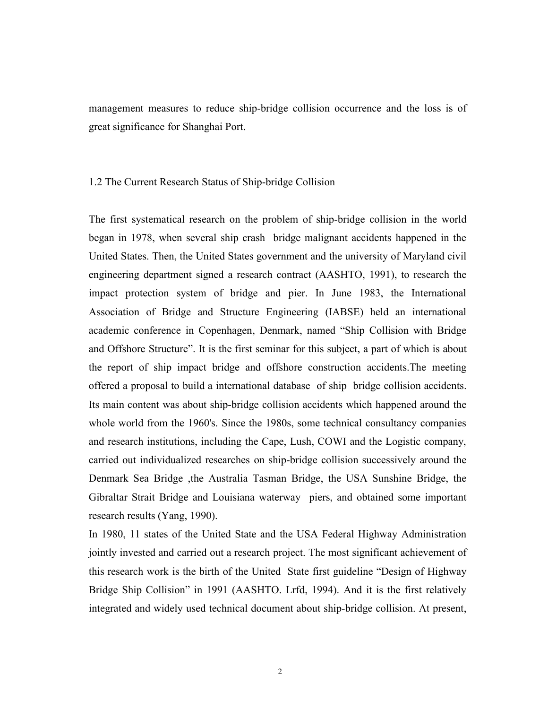management measures to reduce ship-bridge collision occurrence and the loss is of great significance for Shanghai Port.

#### 1.2 The Current Research Status of Ship-bridge Collision

The first systematical research on the problem of ship-bridge collision in the world began in 1978, when several ship crash bridge malignant accidents happened in the United States. Then, the United States government and the university of Maryland civil engineering department signed a research contract (AASHTO, 1991), to research the impact protection system of bridge and pier. In June 1983, the International Association of Bridge and Structure Engineering (IABSE) held an international academic conference in Copenhagen, Denmark, named "Ship Collision with Bridge and Offshore Structure". It is the first seminar for this subject, a part of which is about the report of ship impact bridge and offshore construction accidents.The meeting offered a proposal to build a international database of ship bridge collision accidents. Its main content was about ship-bridge collision accidents which happened around the whole world from the 1960's. Since the 1980s, some technical consultancy companies and research institutions, including the Cape, Lush, COWI and the Logistic company, carried out individualized researches on ship-bridge collision successively around the Denmark Sea Bridge ,the Australia Tasman Bridge, the USA Sunshine Bridge, the Gibraltar Strait Bridge and Louisiana waterway piers, and obtained some important research results (Yang, 1990).

In 1980, 11 states of the United State and the USA Federal Highway Administration jointly invested and carried out a research project. The most significant achievement of this research work is the birth of the United State first guideline "Design of Highway Bridge Ship Collision" in 1991 (AASHTO. Lrfd, 1994). And it is the first relatively integrated and widely used technical document about ship-bridge collision. At present,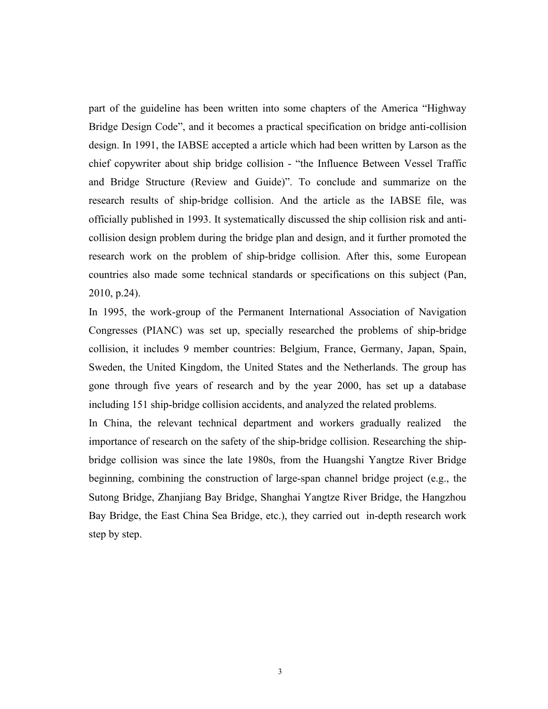part of the guideline has been written into some chapters of the America "Highway Bridge Design Code", and it becomes a practical specification on bridge anti-collision design. In 1991, the IABSE accepted a article which had been written by Larson as the chief copywriter about ship bridge collision - "the Influence Between Vessel Traffic and Bridge Structure (Review and Guide)". To conclude and summarize on the research results of ship-bridge collision. And the article as the IABSE file, was officially published in 1993. It systematically discussed the ship collision risk and anticollision design problem during the bridge plan and design, and it further promoted the research work on the problem of ship-bridge collision. After this, some European countries also made some technical standards or specifications on this subject (Pan, 2010, p.24).

In 1995, the work-group of the Permanent International Association of Navigation Congresses (PIANC) was set up, specially researched the problems of ship-bridge collision, it includes 9 member countries: Belgium, France, Germany, Japan, Spain, Sweden, the United Kingdom, the United States and the Netherlands. The group has gone through five years of research and by the year 2000, has set up a database including 151 ship-bridge collision accidents, and analyzed the related problems.

In China, the relevant technical department and workers gradually realized the importance of research on the safety of the ship-bridge collision. Researching the shipbridge collision was since the late 1980s, from the Huangshi Yangtze River Bridge beginning, combining the construction of large-span channel bridge project(e.g., the Sutong Bridge, Zhanjiang Bay Bridge, Shanghai Yangtze River Bridge, the Hangzhou Bay Bridge, the East China Sea Bridge, etc.), they carried out in-depth research work step by step.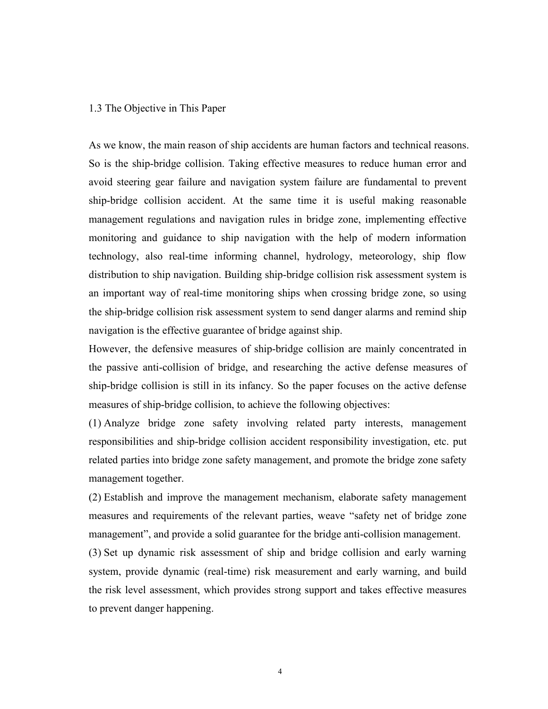#### 1.3 The Objective in This Paper

As we know, the main reason of ship accidents are human factors and technical reasons. So is the ship-bridge collision. Taking effective measures to reduce human error and avoid steering gear failure and navigation system failure are fundamental to prevent ship-bridge collision accident. At the same time it is useful making reasonable management regulations and navigation rules in bridge zone, implementing effective monitoring and guidance to ship navigation with the help of modern information technology, also real-time informing channel, hydrology, meteorology, ship flow distribution to ship navigation. Building ship-bridge collision risk assessment system is an important way of real-time monitoring ships when crossing bridge zone, so using the ship-bridge collision risk assessment system to send danger alarms and remind ship navigation is the effective guarantee of bridge against ship.

However, the defensive measures of ship-bridge collision are mainly concentrated in the passive anti-collision of bridge, and researching the active defense measures of ship-bridge collision is still in its infancy. So the paper focuses on the active defense measures of ship-bridge collision, to achieve the following objectives:

(1) Analyze bridge zone safety involving related party interests, management responsibilities and ship-bridge collision accident responsibility investigation, etc. put related parties into bridge zone safety management, and promote the bridge zone safety management together.

(2) Establish and improve the management mechanism, elaborate safety management measures and requirements of the relevant parties, weave "safety net of bridge zone management", and provide a solid guarantee for the bridge anti-collision management.

(3) Set up dynamic risk assessment of ship and bridge collision and early warning system, provide dynamic (real-time) risk measurement and early warning, and build the risk level assessment, which provides strong support and takes effective measures to prevent danger happening.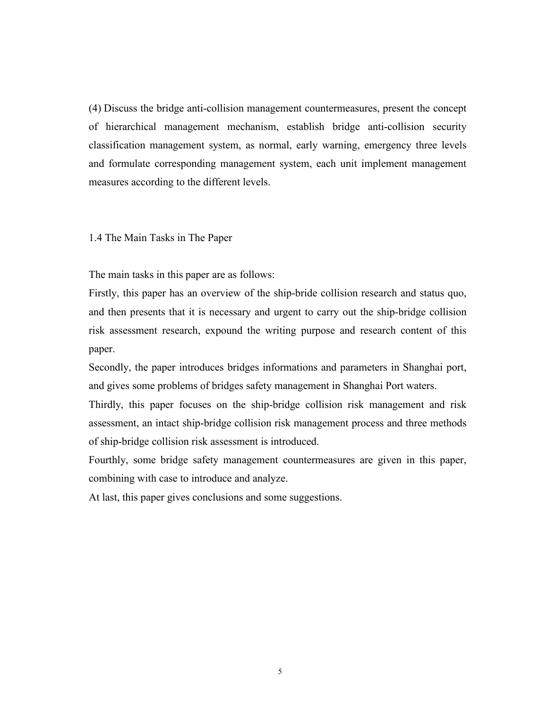(4) Discuss the bridge anti-collision management countermeasures, present the concept of hierarchical management mechanism, establish bridge anti-collision security classification management system, as normal, early warning, emergency three levels and formulate corresponding management system, each unit implement management measures according to the different levels.

1.4 The Main Tasks in The Paper

The main tasks in this paper are as follows:

Firstly, this paper has an overview of the ship-bride collision research and status quo, and then presents that it is necessary and urgent to carry out the ship-bridge collision risk assessment research, expound the writing purpose and research content of this paper.

Secondly, the paper introduces bridges informations and parameters in Shanghai port, and gives some problems of bridges safety management in Shanghai Port waters.

Thirdly, this paper focuses on the ship-bridge collision risk management and risk assessment, an intact ship-bridge collision risk management process and three methods of ship-bridge collision risk assessment is introduced.

Fourthly, some bridge safety management countermeasures are given in this paper, combining with case to introduce and analyze.

At last, this paper gives conclusions and some suggestions.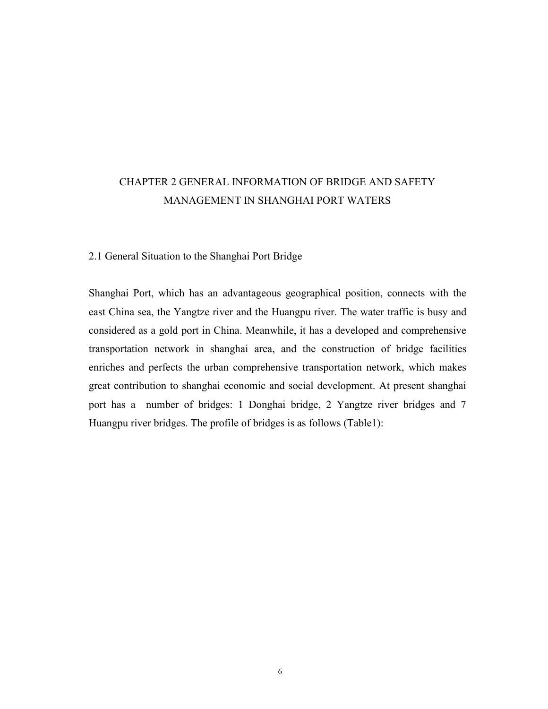## CHAPTER 2 GENERAL INFORMATION OF BRIDGE AND SAFETY MANAGEMENT IN SHANGHAI PORT WATERS

### 2.1 General Situation to the Shanghai Port Bridge

Shanghai Port, which has an advantageous geographical position, connects with the east China sea, the Yangtze river and the Huangpu river. The water traffic is busy and considered as a gold port in China. Meanwhile, it has a developed and comprehensive transportation network in shanghai area, and the construction of bridge facilities enriches and perfects the urban comprehensive transportation network, which makes great contribution to shanghai economic and social development. At present shanghai port has a number of bridges: 1 Donghai bridge, 2 Yangtze river bridges and 7 Huangpu river bridges. The profile of bridges is as follows (Table1):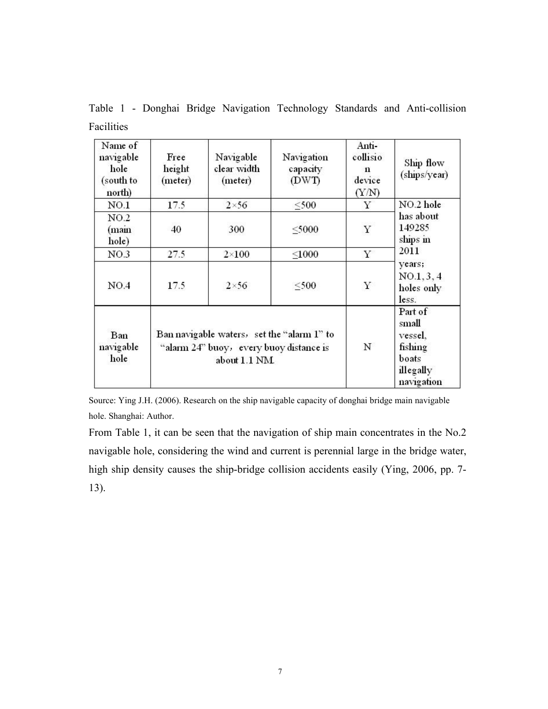| Name of<br>navigable<br>hole<br>(south to<br>north) | Free<br>height<br>(meter)                                                                              | Navigable<br>clear width<br>(meter) | Navigation<br>capacity<br>(DWT) | Anti-<br>collisio<br>n<br>device<br>(Y/N) | Ship flow<br>(ships/year)                                                  |
|-----------------------------------------------------|--------------------------------------------------------------------------------------------------------|-------------------------------------|---------------------------------|-------------------------------------------|----------------------------------------------------------------------------|
| NO.1                                                | 17.5                                                                                                   | $2\times 56$                        | $<$ 500                         | Y                                         | NO.2 hole                                                                  |
| NO.2<br>(main<br>hole)                              | 40                                                                                                     | 300                                 | $<$ 5000                        | $\mathbf Y$                               | has about<br>149285<br>ships in                                            |
| NO.3                                                | 27.5                                                                                                   | $2\times100$                        | $<$ 1000                        | Υ                                         | 2011                                                                       |
| NO.4                                                | 17.5                                                                                                   | $2\times56$                         | $500$                           | Υ                                         | years;<br>NO.1, 3, 4<br>holes only<br>less.                                |
| Ban<br>navigable<br>hole                            | Ban navigable waters, set the "alarm 1" to<br>"alarm 24" buoy, every buoy distance is<br>about 1.1 NM. |                                     |                                 | N                                         | Part of<br>small<br>vessel,<br>fishing<br>boats<br>illegally<br>navigation |

Table 1 - Donghai Bridge Navigation Technology Standards and Anti-collision Facilities

Source: Ying J.H. (2006). Research on the ship navigable capacity of donghai bridge main navigable hole. Shanghai: Author.

From Table 1, it can be seen that the navigation of ship main concentrates in the No.2 navigable hole, considering the wind and current is perennial large in the bridge water, high ship density causes the ship-bridge collision accidents easily (Ying, 2006, pp. 7- 13).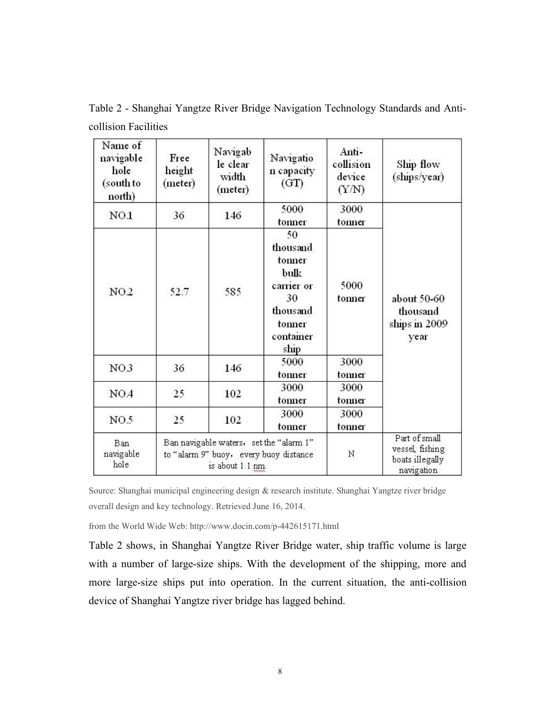| Name of<br>navigable<br>hole<br>(south to<br>north) | Free<br>height<br>(meter)                                                                             | Navigab<br>le clear<br>width<br>(meter) | Navigatio<br>n capacity<br>(GT)                                                                 | Anti-<br>collision<br>device<br>(Y/N) | Ship flow<br>(ships/year)                                         |
|-----------------------------------------------------|-------------------------------------------------------------------------------------------------------|-----------------------------------------|-------------------------------------------------------------------------------------------------|---------------------------------------|-------------------------------------------------------------------|
| NO.1                                                | 36                                                                                                    | 146                                     | 5000<br>tonner                                                                                  | 3000<br>tonner                        |                                                                   |
| NO <sub>2</sub>                                     | 52.7                                                                                                  | 585                                     | 50<br>thousand<br>tonner<br>bulk<br>carrier or<br>30<br>thousand<br>tonner<br>container<br>ship | 5000<br>tonner                        | about 50-60<br>thousand<br>ships in 2009<br>year                  |
| NO <sub>3</sub>                                     | 36                                                                                                    | 146                                     | 5000<br>tonner                                                                                  | 3000<br>tonner                        |                                                                   |
| NO.4                                                | 25                                                                                                    | 102                                     | 3000<br>tonner                                                                                  | 3000<br>tonner                        |                                                                   |
| NO.5                                                | 25                                                                                                    | 102                                     | 3000<br>tonner                                                                                  | 3000<br>tonner                        |                                                                   |
| <b>Ban</b><br>navigable<br>hole                     | Ban navigable waters, set the "alarm 1"<br>to "alarm 9" buoy, every buoy distance<br>is about 1.1 nm. |                                         |                                                                                                 | Ν                                     | Part of small<br>vessel, fishing<br>boats illegally<br>navigation |

Table 2 - Shanghai Yangtze River Bridge Navigation Technology Standards and Anticollision Facilities

Source: Shanghai municipal engineering design & research institute. Shanghai Yangtze riverbridge overall design and key technology. Retrieved June 16, 2014.

from the World Wide Web: http://www.docin.com/p-442615171.html

Table 2 shows, in Shanghai Yangtze River Bridge water, ship traffic volume islarge with a number of large-size ships. With the development of the shipping, more and more large-size ships put into operation. In the current situation, the anti-collision device of Shanghai Yangtze river bridge has lagged behind.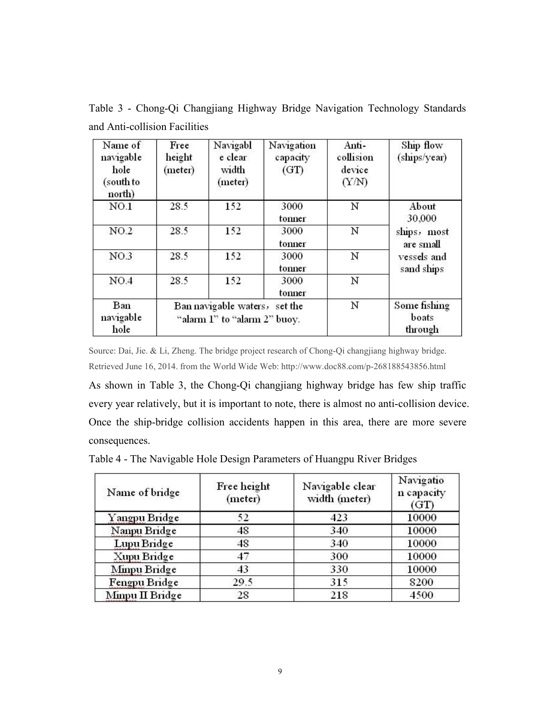| Name of<br>navigable<br>hole<br>(south to<br>north) | Free<br>height<br>(meter)                                     | Navigabl<br>e clear<br>width<br>(meter) | Navigation<br>capacity<br>(GT) | Anti-<br>collision<br>device<br>(Y/N) | Ship flow<br>(ships/year)                             |
|-----------------------------------------------------|---------------------------------------------------------------|-----------------------------------------|--------------------------------|---------------------------------------|-------------------------------------------------------|
| NO.1                                                | 28.5                                                          | 152                                     | 3000<br>tonner                 | Ν                                     | About<br>30,000                                       |
| NO.2                                                | 28.5                                                          | 152                                     | 3000<br>tonner                 | N                                     | ships, most<br>are small<br>vessels and<br>sand ships |
| NO.3                                                | 28.5                                                          | 152                                     | 3000<br>tonner                 | Ν                                     |                                                       |
| NO.4                                                | 28.5                                                          | 152                                     | 3000<br>tonner                 | N                                     |                                                       |
| Ban<br>navigable<br>hole                            | Ban navigable waters, set the<br>"alarm 1" to "alarm 2" buoy. |                                         | Ν                              | Some fishing<br>boats<br>through      |                                                       |

Table 3 - Chong-Qi Changjiang Highway Bridge Navigation Technology Standards and Anti-collision Facilities

Source: Dai, Jie. & Li, Zheng. The bridge project research of Chong-Qi changjiang highway bridge. Retrieved June 16, 2014. from the World Wide Web: http://www.doc88.com/p-268188543856.html

As shown in Table 3, the Chong-Qi changjiang highway bridge has few ship traffic every year relatively, but it is important to note, there is almost no anti-collision device. Once the ship-bridge collision accidents happen in this area, there are more severe consequences.

Table 4 - The Navigable Hole Design Parameters of Huangpu River Bridges

| Name of bridge  | Free height<br>(meter) | Navigable clear<br>width (meter) | Navigatio<br>n capacity<br>(GT) |
|-----------------|------------------------|----------------------------------|---------------------------------|
| Yangpu Bridge   | 52                     | 423                              | 10000                           |
| Nanpu Bridge    | 48                     | 340                              | 10000                           |
| Lupu Bridge     | 48                     | 340                              | 10000                           |
| Xupu Bridge     | 47                     | 300                              | 10000                           |
| Minpu Bridge    | 43                     | 330                              | 10000                           |
| Fengpu Bridge   | 29.5                   | 315                              | 8200                            |
| Minpu II Bridge | 28                     | 218                              | 4500                            |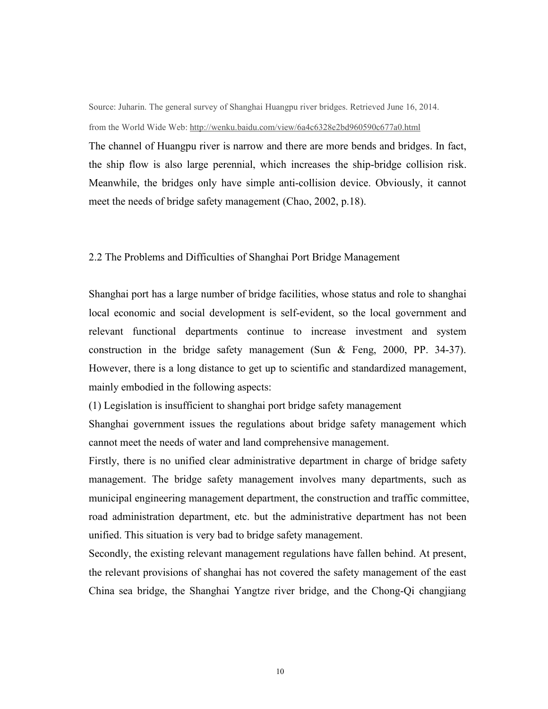Source: Juharin. The general survey of Shanghai Huangpu river bridges. Retrieved June 16, 2014. from the World Wide Web: http://wenku.baidu.com/view/6a4c6328e2bd960590c677a0.html

The channel of Huangpu river is narrow and there are more bends and bridges. In fact, the ship flow is also large perennial, which increases the ship-bridge collision risk. Meanwhile, the bridges only have simple anti-collision device. Obviously, it cannot meet the needs of bridge safety management (Chao, 2002, p.18).

#### 2.2 The Problems and Difficulties of Shanghai Port Bridge Management

Shanghai port has a large number of bridge facilities, whose status and role to shanghai local economic and social development is self-evident, so the local government and relevant functional departments continue to increase investment and system construction in the bridge safety management (Sun & Feng, 2000, PP. 34-37). However, there is a long distance to get up to scientific and standardized management, mainly embodied in the following aspects:

(1) Legislation is insufficient to shanghai port bridge safety management

Shanghai government issues the regulations about bridge safety management which cannot meet the needs of water and land comprehensive management.

Firstly, there is no unified clear administrative department in charge of bridge safety management. The bridge safety management involves many departments, such as municipal engineering management department, the construction and traffic committee, road administration department, etc. but the administrative department has not been unified. This situation is very bad to bridge safety management.

Secondly, the existing relevant management regulations have fallen behind. At present, the relevant provisions of shanghai has not covered the safety management of the east China sea bridge, the Shanghai Yangtze river bridge, and the Chong-Qi changjiang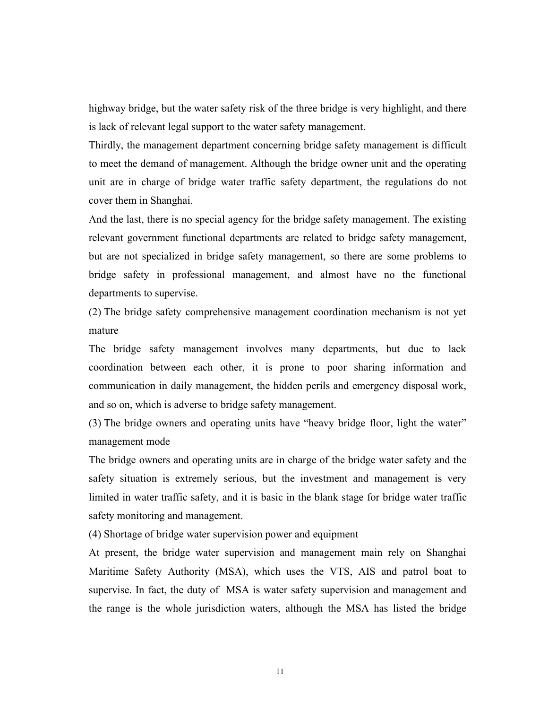highway bridge, but the water safety risk of the three bridge is very highlight, and there is lack of relevant legal support to the water safety management.

Thirdly, the management department concerning bridge safety management is difficult to meet the demand of management. Although the bridge owner unit and the operating unit are in charge of bridge water traffic safety department, the regulations do not cover them in Shanghai.

And the last, there is no special agency for the bridge safety management. The existing relevant government functional departments are related to bridge safety management, but are not specialized in bridge safety management, so there are some problems to bridge safety in professional management, and almost have no the functional departments to supervise.

(2) The bridge safety comprehensive management coordination mechanism is not yet mature

The bridge safety management involves many departments, but due to lack coordination between each other, it is prone to poor sharing information and communication in daily management, the hidden perils and emergency disposal work, and so on, which is adverse to bridge safety management.

(3) The bridge owners and operating units have "heavy bridge floor, light the water" management mode

The bridge owners and operating units are in charge of the bridge water safety and the safety situation is extremely serious, but the investment and management is very limited in water traffic safety, and it is basic in the blank stage for bridge water traffic safety monitoring and management.

(4) Shortage of bridge water supervision power and equipment

At present, the bridge water supervision and management main rely on Shanghai Maritime Safety Authority (MSA), which uses the VTS, AIS and patrol boat to supervise. In fact, the duty of MSA is water safety supervision and management and the range is the whole jurisdiction waters, although the MSA has listed the bridge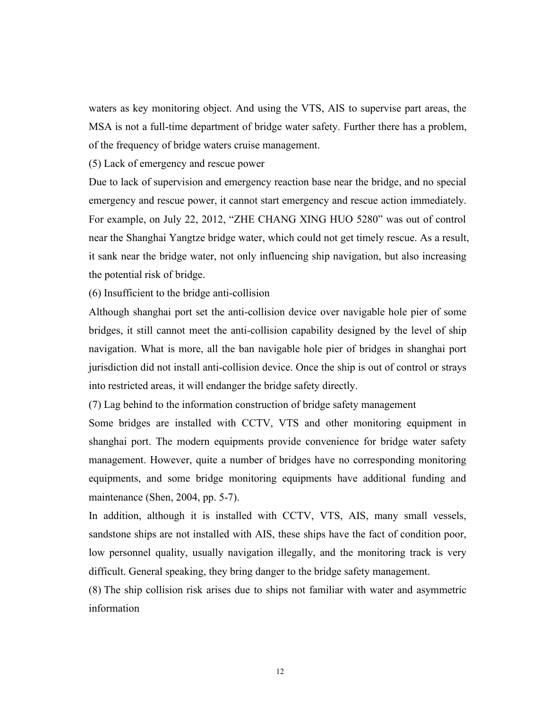waters as key monitoring object. And using the VTS, AIS to supervise part areas, the MSA is not a full-time department of bridge water safety. Further there has a problem, of the frequency of bridge waters cruise management.

(5) Lack of emergency and rescue power

Due to lack of supervision and emergency reaction base near the bridge, and no special emergency and rescue power, it cannot start emergency and rescue action immediately. For example, on July 22, 2012, "ZHE CHANG XING HUO 5280" was out of control near the Shanghai Yangtze bridge water, which could not get timely rescue. As a result, it sank near the bridge water, not only influencing ship navigation, but also increasing the potential risk of bridge.

(6) Insufficient to the bridge anti-collision

Although shanghai port set the anti-collision device overnavigable hole pier of some bridges, it still cannot meet the anti-collision capability designed by the level of ship navigation. What is more, all the ban navigable hole pier of bridges in shanghai port jurisdiction did not install anti-collision device. Once the ship is out of control or strays into restricted areas, it will endanger the bridge safety directly.

(7) Lag behind to the information construction of bridge safety management

Some bridges are installed with CCTV, VTS and other monitoring equipment in shanghai port. The modern equipments provide convenience for bridge water safety management. However, quite a number of bridges have no corresponding monitoring equipments, and some bridge monitoring equipments have additional funding and maintenance (Shen, 2004, pp. 5-7).

In addition, although it is installed with CCTV, VTS, AIS, many small vessels, sandstone ships are not installed with AIS, these ships have the fact of condition poor, low personnel quality, usually navigation illegally, and the monitoring track is very difficult. General speaking, they bring danger to the bridge safety management.

(8) The ship collision risk arises due to ships not familiar with water and asymmetric information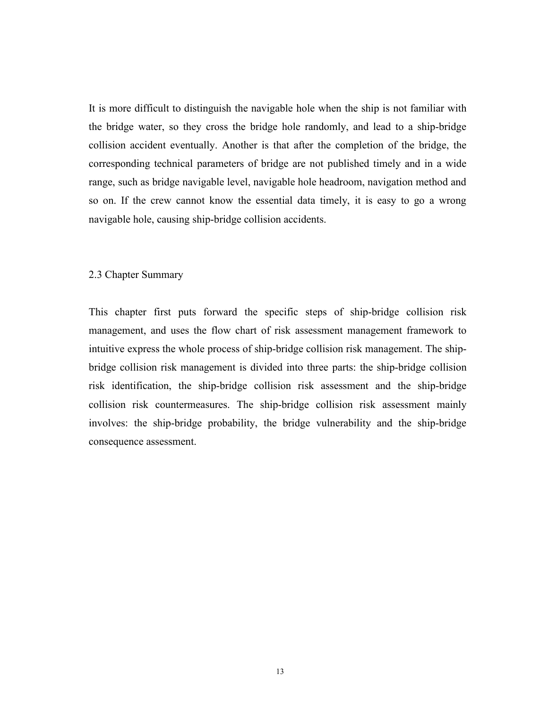It is more difficult to distinguish the navigable hole when the ship is not familiar with the bridge water, so they cross the bridge hole randomly, and lead to a ship-bridge collision accident eventually. Another is that after the completion of the bridge, the corresponding technical parameters of bridge are not published timely and in a wide range, such as bridge navigable level, navigable hole headroom, navigation method and so on. If the crew cannot know the essential data timely, it is easy to go a wrong navigable hole, causing ship-bridge collision accidents.

#### 2.3 Chapter Summary

This chapter first puts forward the specific steps of ship-bridge collision risk management, and uses the flow chart of risk assessment management framework to intuitive express the whole process of ship-bridge collision risk management. The shipbridge collision risk management is divided into three parts: the ship-bridge collision risk identification, the ship-bridge collision risk assessment and the ship-bridge collision risk countermeasures. The ship-bridge collision risk assessment mainly involves: the ship-bridge probability, the bridge vulnerability and the ship-bridge consequence assessment.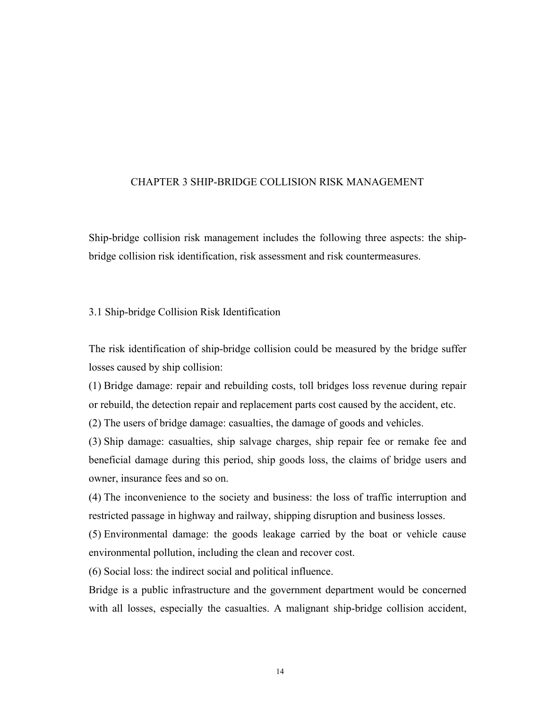#### CHAPTER 3 SHIP-BRIDGE COLLISION RISK MANAGEMENT

Ship-bridge collision risk management includes the following three aspects: the shipbridge collision risk identification, risk assessment and risk countermeasures.

3.1 Ship-bridge Collision Risk Identification

The risk identification of ship-bridge collision could be measured by the bridge suffer losses caused by ship collision:

(1) Bridge damage: repair and rebuilding costs, tollbridges loss revenue during repair or rebuild, the detection repair and replacement parts cost caused by the accident, etc.

(2) The users of bridge damage: casualties, the damage of goods and vehicles.

(3) Ship damage: casualties, ship salvage charges, ship repair fee or remake fee and beneficial damage during this period, ship goods loss, the claims of bridge users and owner, insurance fees and so on.

(4) The inconvenience to the society and business: the loss of traffic interruption and restricted passage in highway and railway, shipping disruption and business losses.

(5) Environmental damage: the goods leakage carried by the boat or vehicle cause environmental pollution, including the clean and recover cost.

(6) Social loss: the indirect social and political influence.

Bridge is a public infrastructure and the government department would be concerned with all losses, especially the casualties. A malignant ship-bridge collision accident,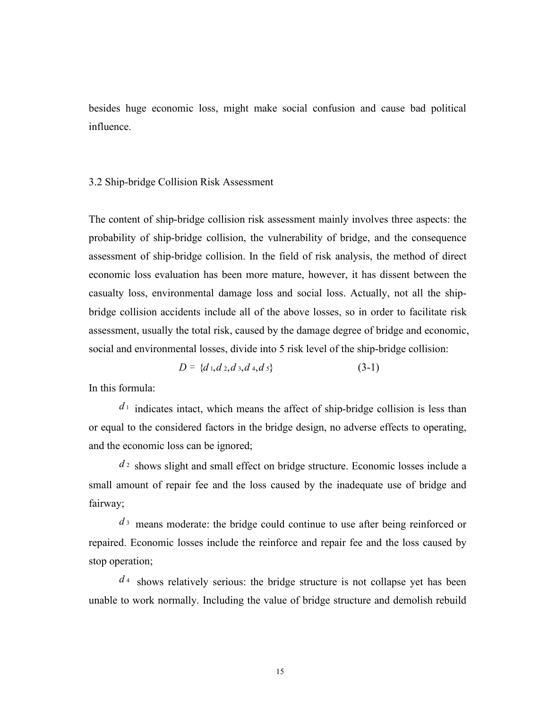besides huge economic loss, might make social confusion and cause bad political influence.

#### 3.2 Ship-bridge Collision Risk Assessment

The content of ship-bridge collision risk assessment mainly involves three aspects: the probability of ship-bridge collision, the vulnerability of bridge, and the consequence assessment of ship-bridge collision. In the field of risk analysis, the method of direct economic loss evaluation has been more mature, however, it has dissent between the casualty loss, environmental damage loss and social loss. Actually, not all the shipbridge collision accidents include all of the above losses, so in order to facilitate risk assessment, usually the total risk, caused by the damage degree of bridge and economic, social and environmental losses, divide into 5 risk level of the ship-bridge collision:

$$
D = \{d_1, d_2, d_3, d_4, d_5\} \tag{3-1}
$$

In this formula:

 $d_1$  indicates intact, which means the affect of ship-bridge collision is less than or equal to the considered factors in the bridge design, no adverse effects to operating, and the economic loss can be ignored;

*d* <sup>2</sup> shows slight and small effect on bridge structure. Economic losses include a small amount of repair fee and the loss caused by the inadequate use of bridge and fairway;

*d* <sup>3</sup> means moderate: the bridge could continue to use after being reinforced or repaired. Economic losses include the reinforce and repair fee and the loss caused by stop operation;

 $d<sup>4</sup>$  shows relatively serious: the bridge structure is not collapse yet has been unable to work normally. Including the value of bridge structure and demolish rebuild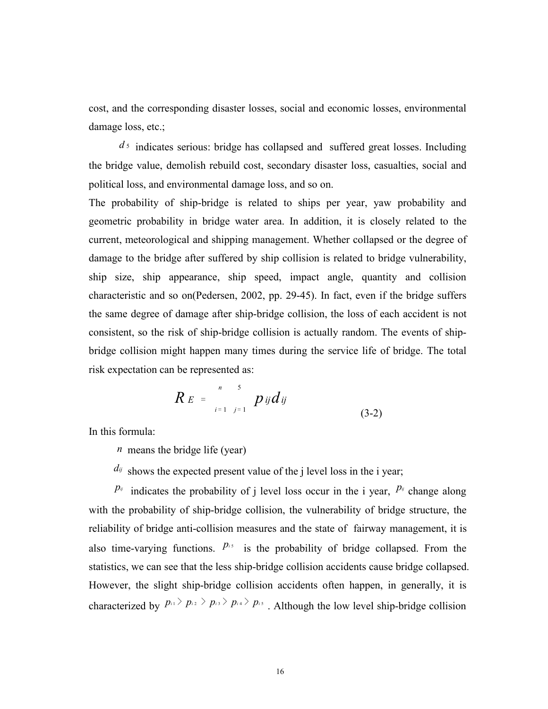cost, and the corresponding disaster losses, social and economic losses, environmental damage loss, etc.;

 $d_5$  indicates serious: bridge has collapsed and suffered great losses. Including the bridge value, demolish rebuild cost, secondary disaster loss, casualties, social and political loss, and environmental damage loss, and so on.

The probability of ship-bridge is related to ships per year, yaw probability and geometric probability in bridge water area. In addition, it is closely related to the current, meteorological and shipping management. Whether collapsed or the degree of damage to the bridge after suffered by ship collision is related to bridge vulnerability, ship size, ship appearance, ship speed, impact angle, quantity and collision characteristic and so on(Pedersen, 2002, pp. 29-45). In fact, even if the bridge suffers the same degree of damage after ship-bridge collision, the loss of each accident is not consistent, so the risk of ship-bridge collision is actually random. The events of shipbridge collision might happen many times during the service life of bridge. The total risk expectation can be represented as:

$$
R E = \int_{i=1}^{n} p_{ij} d_{ij}
$$
 (3-2)

In this formula:

*n* means the bridge life (year)

 $d_{ij}$  shows the expected present value of the j level loss in the i year;

 $P^{\tilde{y}}$  indicates the probability of j level loss occur in the i year,  $P^{\tilde{y}}$  change along with the probability of ship-bridge collision, the vulnerability of bridge structure, the reliability of bridge anti-collision measures and the state of fairway management, it is also time-varying functions.  $P<sup>i</sup>$  is the probability of bridge collapsed. From the statistics, we can see that the less ship-bridge collision accidents cause bridge collapsed. However, the slight ship-bridge collision accidents often happen, in generally, it is characterized by  $p_i \rightarrow p_i \rightarrow p_i \rightarrow p_i \rightarrow p_i$ . Although the low level ship-bridge collision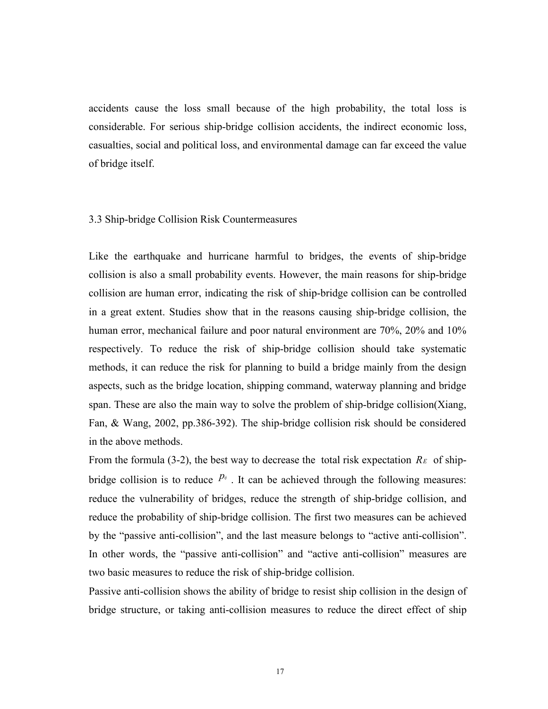accidents cause the loss small because of the high probability, the total loss is considerable. For serious ship-bridge collision accidents, the indirect economic loss, casualties, social and political loss, and environmental damage can far exceed the value of bridge itself.

#### 3.3 Ship-bridge Collision Risk Countermeasures

Like the earthquake and hurricane harmful to bridges, the events of ship-bridge collision is also a small probability events. However, the main reasons for ship-bridge collision are human error, indicating the risk of ship-bridge collision can be controlled in a great extent. Studies show that in the reasons causing ship-bridge collision, the human error, mechanical failure and poor natural environment are 70%, 20% and 10% respectively. To reduce the risk of ship-bridge collision should take systematic methods, it can reduce the risk for planning to build a bridge mainly from the design aspects, such as the bridge location, shipping command, waterway planning and bridge span. These are also the main way to solve the problem of ship-bridge collision(Xiang, Fan, & Wang, 2002, pp.386-392). The ship-bridge collision risk should be considered in the above methods.

From the formula (3-2), the best way to decrease the total risk expectation  $R_E$  of shipbridge collision is to reduce  $P^{\prime\prime}$ . It can be achieved through the following measures: reduce the vulnerability of bridges, reduce the strength of ship-bridge collision, and reduce the probability of ship-bridge collision. The first two measures can be achieved by the "passive anti-collision", and the last measure belongs to "active anti-collision". In other words, the "passive anti-collision" and "active anti-collision" measures are two basic measures to reduce the risk of ship-bridge collision.

Passive anti-collision shows the ability of bridge to resist ship collision in the design of bridge structure, or taking anti-collision measures to reduce the direct effect of ship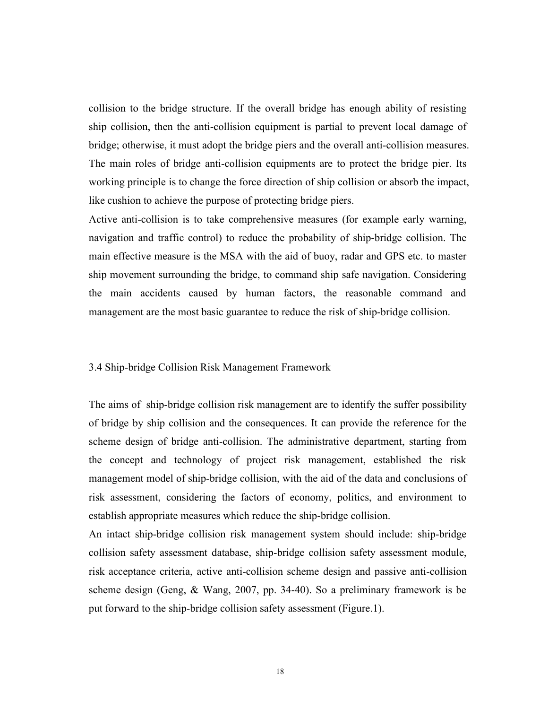collision to the bridge structure. If the overall bridge has enough ability of resisting ship collision, then the anti-collision equipment is partial to prevent local damage of bridge; otherwise, it must adopt the bridge piers and the overall anti-collision measures. The main roles of bridge anti-collision equipments are to protect the bridge pier. Its working principle is to change the force direction of ship collision or absorb the impact, like cushion to achieve the purpose of protecting bridge piers.

Active anti-collision is to take comprehensive measures (for example early warning, navigation and traffic control) to reduce the probability of ship-bridge collision. The main effective measure is the MSA with the aid of buoy, radar and GPS etc. to master ship movement surrounding the bridge, to command ship safe navigation. Considering the main accidents caused by human factors, the reasonable command and management are the most basic guarantee to reduce the risk of ship-bridge collision.

#### 3.4 Ship-bridge Collision Risk Management Framework

The aims of ship-bridge collision risk management are to identify the suffer possibility of bridge by ship collision and the consequences. It can provide the reference for the scheme design of bridge anti-collision. The administrative department, starting from the concept and technology of project risk management, established the risk management model of ship-bridge collision, with the aid of the data and conclusions of risk assessment, considering the factors of economy, politics, and environment to establish appropriate measures which reduce the ship-bridge collision.

An intact ship-bridge collision risk management system should include: ship-bridge collision safety assessment database, ship-bridge collision safety assessment module, risk acceptance criteria, active anti-collision scheme design and passive anti-collision scheme design (Geng, & Wang, 2007, pp. 34-40). So a preliminary framework is be put forward to the ship-bridge collision safety assessment (Figure.1).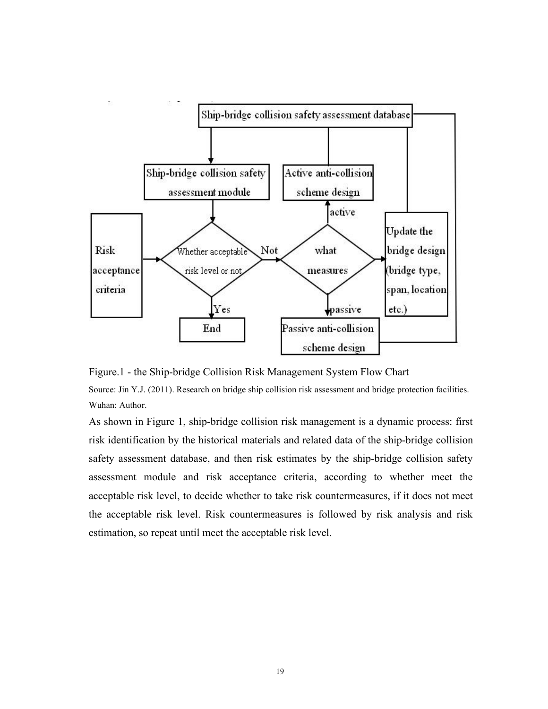

Figure.1 - the Ship-bridge Collision Risk Management System Flow Chart

Source: Jin Y.J. (2011). Research on bridge ship collision risk assessment and bridge protection facilities. Wuhan: Author.

As shown in Figure 1, ship-bridge collision risk management is a dynamic process: first risk identification by the historical materials and related data of the ship-bridge collision safety assessment database, and then risk estimates by the ship-bridge collision safety assessment module and risk acceptance criteria, according to whether meet the acceptable risk level, to decide whether to take risk countermeasures, if it does not meet the acceptable risk level. Risk countermeasures is followed by risk analysis and risk estimation, so repeat until meet the acceptable risk level.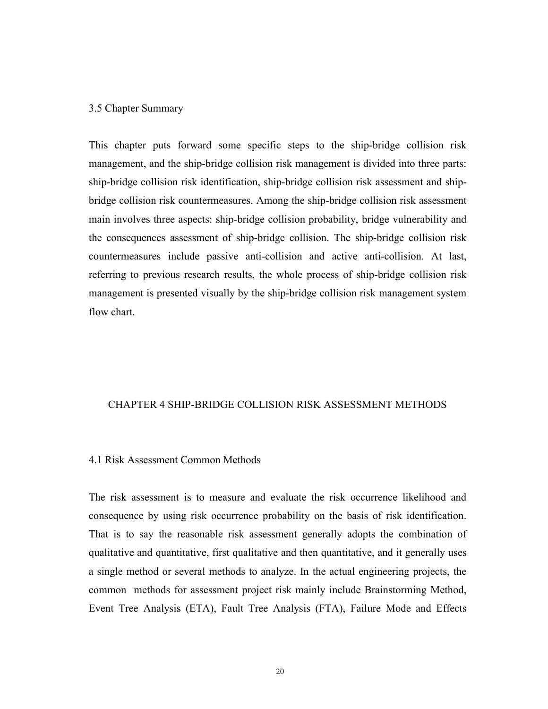#### 3.5 Chapter Summary

This chapter puts forward some specific steps to the ship-bridge collision risk management, and the ship-bridge collision risk management is divided into three parts: ship-bridge collision risk identification, ship-bridge collision risk assessment and shipbridge collision risk countermeasures. Among the ship-bridge collision risk assessment main involves three aspects: ship-bridge collision probability, bridge vulnerability and the consequences assessment of ship-bridge collision. The ship-bridge collision risk countermeasures include passive anti-collision and active anti-collision. At last, referring to previous research results, the whole process of ship-bridge collision risk management is presented visually by the ship-bridge collision risk management system flow chart.

#### CHAPTER 4 SHIP-BRIDGE COLLISION RISK ASSESSMENT METHODS

### 4.1 Risk Assessment Common Methods

The risk assessment is to measure and evaluate the risk occurrence likelihood and consequence by using risk occurrence probability on the basis of risk identification. That is to say the reasonable risk assessment generally adopts the combination of qualitative and quantitative, first qualitative and then quantitative, and it generally uses a single method or several methods to analyze. In the actual engineering projects, the common methods for assessment project risk mainly include Brainstorming Method, Event Tree Analysis (ETA), Fault Tree Analysis (FTA), Failure Mode and Effects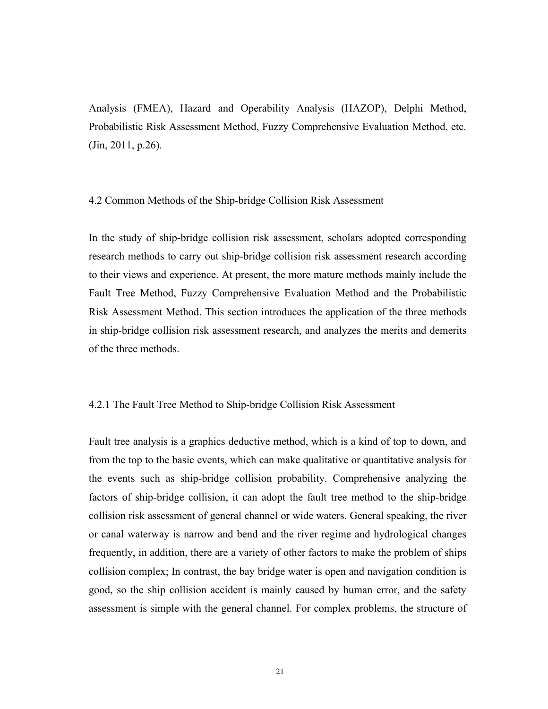Analysis (FMEA), Hazard and Operability Analysis (HAZOP), Delphi Method, Probabilistic Risk Assessment Method, Fuzzy Comprehensive Evaluation Method, etc. (Jin, 2011, p.26).

#### 4.2 Common Methods of the Ship-bridge Collision Risk Assessment

In the study of ship-bridge collision risk assessment, scholars adopted corresponding research methods to carry out ship-bridge collision risk assessment research according to their views and experience. At present, the more mature methods mainly include the Fault Tree Method, Fuzzy Comprehensive Evaluation Method and the Probabilistic Risk Assessment Method. This section introduces the application of the three methods in ship-bridge collision risk assessment research, and analyzes the merits and demerits of the three methods.

#### 4.2.1 The Fault Tree Method to Ship-bridge Collision Risk Assessment

Fault tree analysis is a graphics deductive method, which is a kind of top to down, and from the top to the basic events, which can make qualitative or quantitative analysis for the events such as ship-bridge collision probability. Comprehensive analyzing the factors of ship-bridge collision, it can adopt the fault tree method to the ship-bridge collision risk assessment of general channel or wide waters. General speaking, the river or canal waterway is narrow and bend and the river regime and hydrological changes frequently, in addition, there are a variety of other factors to make the problem of ships collision complex; In contrast, the bay bridge water is open and navigation condition is good, so the ship collision accident is mainly caused by human error, and the safety assessment is simple with the general channel. For complex problems, the structure of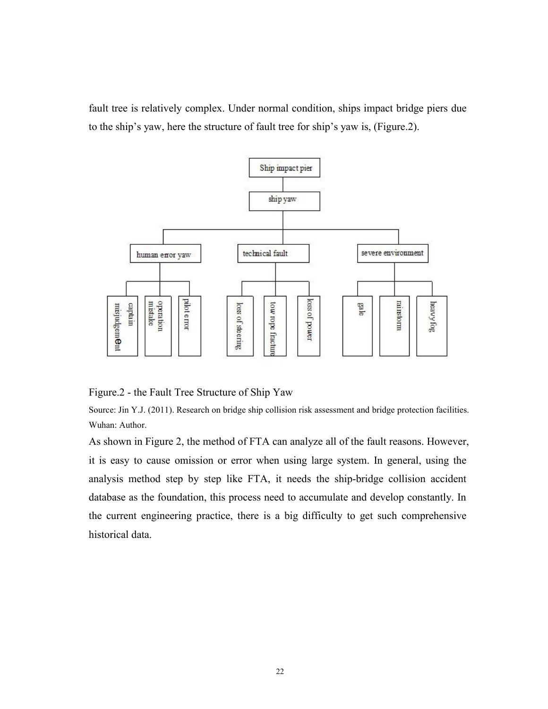fault tree is relatively complex. Under normal condition, ships impact bridge piers due to the ship's yaw, here the structure of fault tree for ship's yaw is, (Figure.2).



Figure.2 - the Fault Tree Structure of Ship Yaw

Source: Jin Y.J. (2011). Research on bridge ship collision risk assessment and bridge protection facilities. Wuhan: Author.

As shown in Figure 2, the method of FTA can analyze all of the fault reasons. However, it is easy to cause omission or error when using large system. In general, using the analysis method step by step like FTA, it needs the ship-bridge collision accident database as the foundation, this process need to accumulate and develop constantly. In the current engineering practice, there is a big difficulty to get such comprehensive historical data.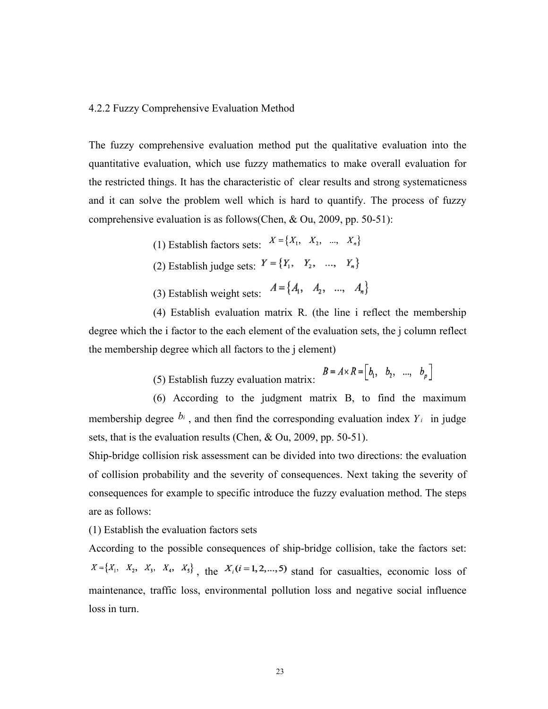#### 4.2.2 Fuzzy Comprehensive Evaluation Method

The fuzzy comprehensive evaluation method put the qualitative evaluation into the quantitative evaluation, which use fuzzy mathematics to make overallevaluation for the restricted things. It has the characteristic of clear results and strong systematicness and it can solve the problem well which is hard to quantify. The process of fuzzy comprehensive evaluation is as follows(Chen, & Ou, 2009, pp. 50-51):

> (1) Establish factors sets:  $X = \{X_1, X_2, ..., X_n\}$ (2) Establish judge sets:  $Y = \{Y_1, Y_2, ..., Y_n\}$ (3) Establish weight sets:  $A = \{A_1, A_2, ..., A_n\}$

(4) Establish evaluation matrix R. (the line i reflect the membership degree which the i factor to the each element of the evaluation sets, the j column reflect the membership degree which all factors to the j element)

(5) Establish fuzzy evaluation matrix:  $B = A \times R = [b_1, b_2, ..., b_p]$ 

(6) According to the judgment matrix B, to find the maximum membership degree  $b_i$ , and then find the corresponding evaluation index  $Y_i$  in judge sets, that is the evaluation results (Chen, & Ou, 2009, pp. 50-51).

Ship-bridge collision risk assessment can be divided into two directions: the evaluation of collision probability and the severity of consequences. Next taking the severity of consequences for example to specific introduce the fuzzy evaluation method. The steps are as follows:

(1) Establish the evaluation factors sets

According to the possible consequences of ship-bridge collision, take the factors set:  $X = \{X_1, X_2, X_3, X_4, X_5\}$ , the  $X_i(i=1,2,...,5)$  stand for casualties, economic loss of maintenance, traffic loss, environmental pollution loss and negative social influence loss in turn.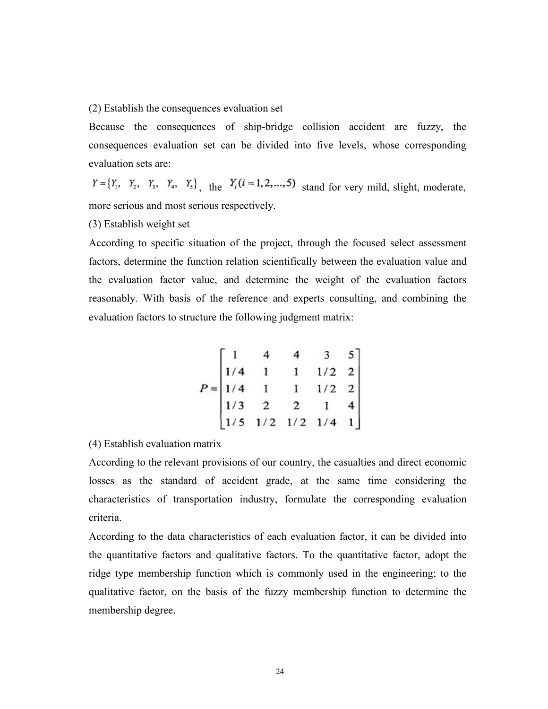(2) Establish the consequences evaluation set

Because the consequences of ship-bridge collision accident are fuzzy, the consequences evaluation set can be divided into five levels, whose corresponding evaluation sets are:

 $Y = \{Y_1, Y_2, Y_3, Y_4, Y_5\}$ , the  $Y_i(i = 1, 2, ..., 5)$  stand for very mild, slight, moderate, more serious and most serious respectively.

(3) Establish weight set

According to specific situation of the project, through the focused select assessment factors, determine the function relation scientifically between the evaluation value and the evaluation factor value, and determine the weight of the evaluation factors reasonably. With basis of the reference and experts consulting, and combining the evaluation factors to structure the following judgment matrix:

$$
P = \begin{bmatrix} 1 & 4 & 4 & 3 & 5 \\ 1/4 & 1 & 1 & 1/2 & 2 \\ 1/4 & 1 & 1 & 1/2 & 2 \\ 1/3 & 2 & 2 & 1 & 4 \\ 1/5 & 1/2 & 1/2 & 1/4 & 1 \end{bmatrix}
$$

(4) Establish evaluation matrix

According to the relevant provisions of our country, the casualties and direct economic losses as the standard of accident grade, at the same time considering the characteristics of transportation industry, formulate the corresponding evaluation criteria.

According to the data characteristics of each evaluation factor, it can be divided into the quantitative factors and qualitative factors. To the quantitative factor, adopt the ridge type membership function which is commonly used in the engineering; to the qualitative factor, on the basis of the fuzzy membership function to determine the membership degree.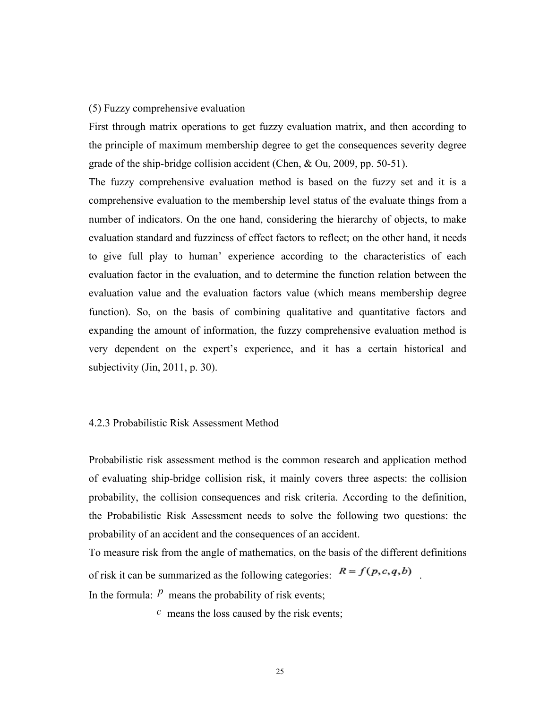#### (5) Fuzzy comprehensive evaluation

First through matrix operations to get fuzzy evaluation matrix, and then according to the principle of maximum membership degree to get the consequences severity degree grade of the ship-bridge collision accident (Chen, & Ou, 2009, pp. 50-51).

The fuzzy comprehensive evaluation method is based on the fuzzy set and it is a comprehensive evaluation to the membership level status of the evaluate things from a number of indicators. On the one hand, considering the hierarchy of objects, to make evaluation standard and fuzziness of effect factors to reflect; on the other hand, it needs to give full play to human' experience according to the characteristics of each evaluation factor in the evaluation, and to determine the function relation between the evaluation value and the evaluation factors value (which means membership degree function). So, on the basis of combining qualitative and quantitative factors and expanding the amount of information, the fuzzy comprehensive evaluation method is very dependent on the expert's experience, and it has a certain historical and subjectivity (Jin, 2011, p. 30).

#### 4.2.3 Probabilistic Risk Assessment Method

Probabilistic risk assessment method is the common research and application method of evaluating ship-bridge collision risk, it mainly covers three aspects: the collision probability, the collision consequences and risk criteria. According to the definition, the Probabilistic Risk Assessment needs to solve the following two questions: the probability of an accident and the consequences of an accident.

To measure risk from the angle of mathematics, on the basis of the different definitions of risk it can be summarized as the following categories:  $R = f(p, c, q, b)$ In the formula:  *means the probability of risk events;* 

*c* means the loss caused by the risk events;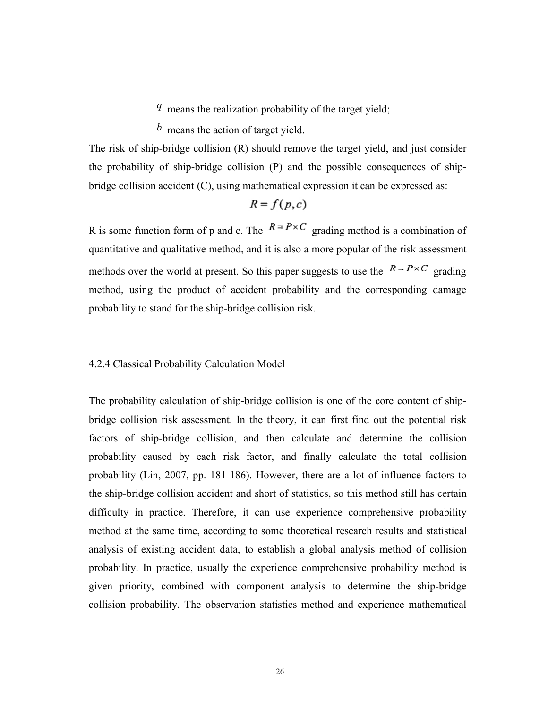*q* means the realization probability of the target yield;

*b* means the action of target yield.

The risk of ship-bridge collision (R) should remove the target yield, and just consider the probability of ship-bridge collision (P) and the possible consequences of shipbridge collision accident (C), using mathematical expression it can be expressed as:

$$
R=f(p,c)
$$

R is some function form of p and c. The  $R = P \times C$  grading method is a combination of quantitative and qualitative method, and it is also a more popular of the risk assessment methods over the world at present. So this paper suggests to use the  $R = P \times C$  grading method, using the product of accident probability and the corresponding damage probability to stand for the ship-bridge collision risk.

#### 4.2.4 Classical Probability Calculation Model

The probability calculation of ship-bridge collision is one of the core content of shipbridge collision risk assessment. In the theory, it can first find out the potential risk factors of ship-bridge collision, and then calculate and determine the collision probability caused by each risk factor, and finally calculate the total collision probability (Lin, 2007, pp. 181-186). However, there are a lot of influence factors to the ship-bridge collision accident and short of statistics, so this method still has certain difficulty in practice. Therefore, it can use experience comprehensive probability method at the same time, according to some theoretical research results and statistical analysis of existing accident data, to establish a global analysis method of collision probability. In practice, usually the experience comprehensive probability method is given priority, combined with component analysis to determine the ship-bridge collision probability. The observation statistics method and experience mathematical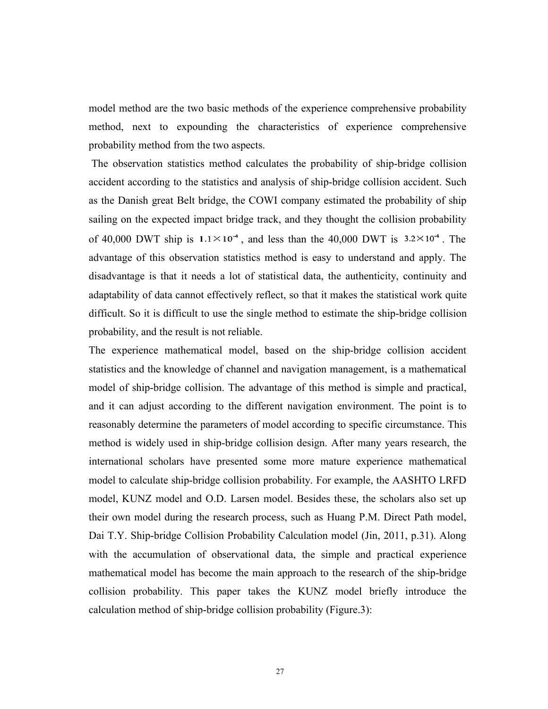model method are the two basic methods of the experience comprehensive probability method, next to expounding the characteristics of experience comprehensive probability method from the two aspects.

The observation statistics method calculates the probability of ship-bridge collision accident according to the statistics and analysis of ship-bridge collision accident. Such as the Danish great Belt bridge, the COWI company estimated the probability of ship sailing on the expected impact bridge track, and they thought the collision probability of 40,000 DWT ship is  $1.1 \times 10^{-4}$ , and less than the 40,000 DWT is  $3.2 \times 10^{-4}$ . The advantage of this observation statistics method is easy to understand and apply. The disadvantage isthat it needs a lot of statistical data, the authenticity, continuity and adaptability of data cannot effectively reflect, so that it makes the statistical work quite difficult. So it is difficult to use the single method to estimate the ship-bridge collision probability, and the result is not reliable.

The experience mathematical model, based on the ship-bridge collision accident statistics and the knowledge of channel and navigation management, is a mathematical model of ship-bridge collision. The advantage of this method is simple and practical, and it can adjust according to the different navigation environment. The point is to reasonably determine the parameters of model according to specific circumstance. This method is widely used in ship-bridge collision design. After many years research, the international scholars have presented some more mature experience mathematical model to calculate ship-bridge collision probability. For example, the AASHTO LRFD model, KUNZ model and O.D. Larsen model. Besides these, the scholars also set up their own model during the research process, such as Huang P.M. Direct Path model, Dai T.Y. Ship-bridge Collision Probability Calculation model (Jin, 2011, p.31). Along with the accumulation of observational data, the simple and practical experience mathematical model has become the main approach to the research of the ship-bridge collision probability. This paper takes the KUNZ model briefly introduce the calculation method of ship-bridge collision probability (Figure.3):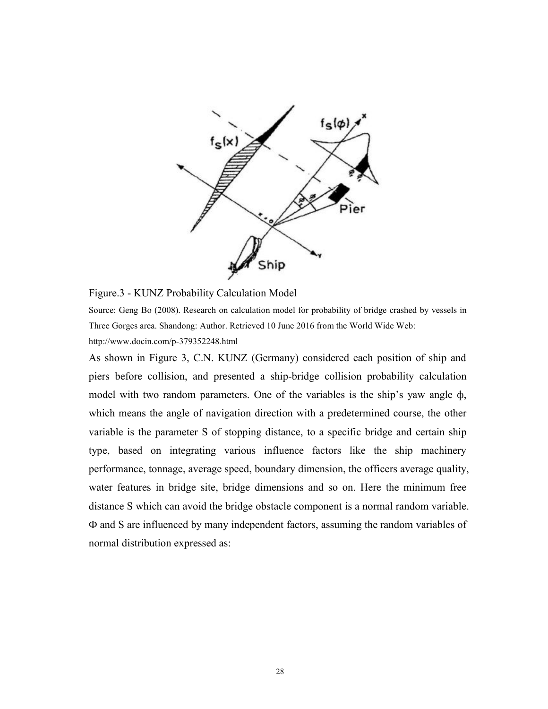

Figure.3 - KUNZ Probability Calculation Model

Source: Geng Bo (2008). Research on calculation model for probability of bridge crashed by vessels in Three Gorges area. Shandong: Author. Retrieved 10 June 2016 from the World Wide Web:

<http://www.docin.com/p-379352248.html>

As shown in Figure 3, C.N. KUNZ (Germany) considered each position of ship and piers before collision, and presented a ship-bridge collision probability calculation model with two random parameters. One of the variables is the ship's yaw angle ф, which means the angle of navigation direction with a predetermined course, the other variable is the parameter S of stopping distance, to a specific bridge and certain ship type, based on integrating various influence factors like the ship machinery performance, tonnage, average speed, boundary dimension, the officers average quality, water features in bridge site, bridge dimensions and so on. Here the minimum free distance S which can avoid the bridge obstacle component is a normal random variable. Ф and S are influenced by many independent factors, assuming the random variables of normal distribution expressed as: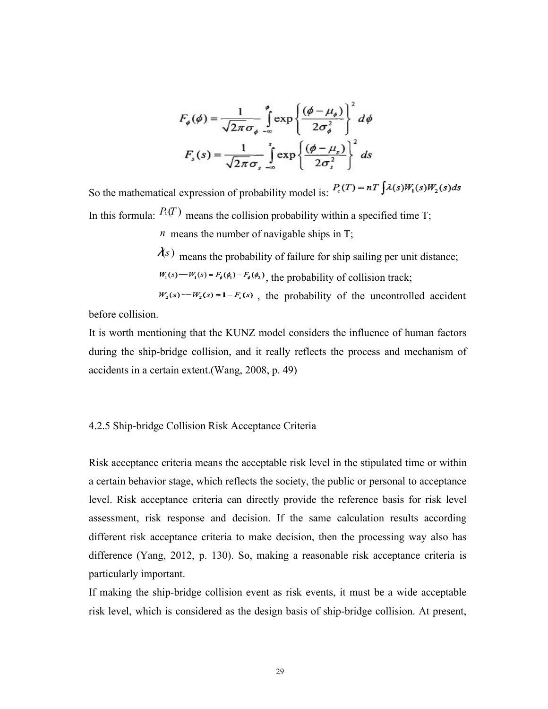$$
F_{\phi}(\phi) = \frac{1}{\sqrt{2\pi}\sigma_{\phi}} \int_{-\infty}^{\phi} \exp\left\{\frac{(\phi - \mu_{\phi})}{2\sigma_{\phi}^{2}}\right\}^{2} d\phi
$$

$$
F_{s}(s) = \frac{1}{\sqrt{2\pi}\sigma_{s}} \int_{-\infty}^{s} \exp\left\{\frac{(\phi - \mu_{s})}{2\sigma_{s}^{2}}\right\}^{2} ds
$$

So the mathematical expression of probability model is:  $P_c(T) = nT \int \lambda(s)W_1(s)W_2(s)ds$ In this formula:  $P_c(T)$  means the collision probability within a specified time T;

*n* means the number of navigable ships in T;

 $\lambda(s)$  means the probability of failure for ship sailing per unit distance;  $W_1(s) - W_1(s) = F_{\phi}(\phi_1) - F_{\phi}(\phi_2)$ , the probability of collision track;

 $W_2(s)$  -  $W_2(s)$  = 1 -  $F_s(s)$ , the probability of the uncontrolled accident before collision.

It is worth mentioning that the KUNZ model considers the influence of human factors during the ship-bridge collision, and it really reflects the process and mechanism of accidents in a certain extent.(Wang, 2008, p. 49)

## 4.2.5 Ship-bridge Collision Risk Acceptance Criteria

Risk acceptance criteria means the acceptable risk level in the stipulated time or within a certain behavior stage, which reflects the society, the public or personal to acceptance level. Risk acceptance criteria can directly provide the reference basis for risk level assessment, risk response and decision. If the same calculation results according different risk acceptance criteria to make decision, then the processing way also has difference (Yang, 2012, p. 130). So, making a reasonable risk acceptance criteria is particularly important.

If making the ship-bridge collision event as risk events, it must be a wide acceptable risk level, which is considered as the design basis of ship-bridge collision. At present,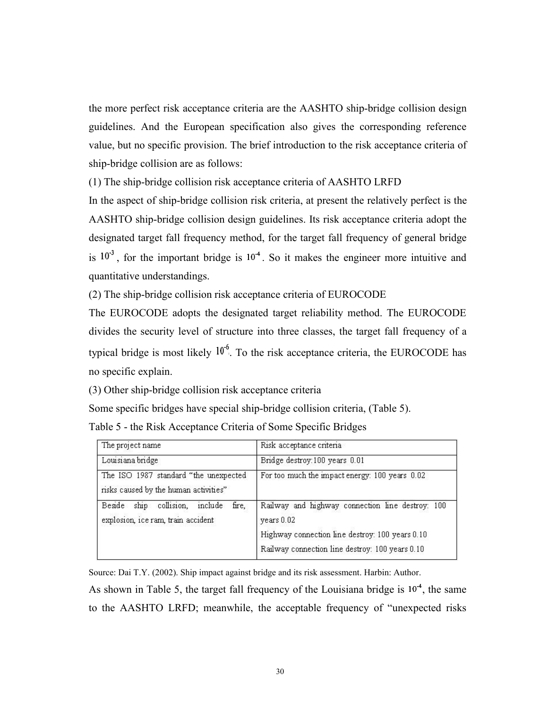the more perfect risk acceptance criteria are the AASHTO ship-bridge collision design guidelines. And the European specification also gives the corresponding reference value, but no specific provision. The brief introduction to the risk acceptance criteria of ship-bridge collision are as follows:

(1) The ship-bridge collision risk acceptance criteria of AASHTO LRFD

In the aspect of ship-bridge collision risk criteria, at present the relatively perfect is the AASHTO ship-bridge collision design guidelines. Its risk acceptance criteria adopt the designated target fall frequency method, for the target fall frequency of general bridge is  $10<sup>3</sup>$ , for the important bridge is  $10<sup>4</sup>$ . So it makes the engineer more intuitive and quantitative understandings.

(2) The ship-bridge collision risk acceptance criteria of EUROCODE

The EUROCODE adopts the designated target reliability method. The EUROCODE divides the security level of structure into three classes, the target fall frequency of a typical bridge is most likely  $10^{-6}$ . To the risk acceptance criteria, the EUROCODE has no specific explain.

(3) Other ship-bridge collision risk acceptance criteria

Some specific bridges have special ship-bridge collision criteria, (Table 5).

Table 5 - the Risk Acceptance Criteria of Some Specific Bridges

| The project name                                                                       | Risk acceptance criteria                                                                                                                                             |
|----------------------------------------------------------------------------------------|----------------------------------------------------------------------------------------------------------------------------------------------------------------------|
| Louisiana bridge                                                                       | Bridge destroy: 100 years 0.01                                                                                                                                       |
| The ISO 1987 standard "the unexpected<br>risks caused by the human activities"         | For too much the impact energy: 100 years 0.02                                                                                                                       |
| collision,<br>ship<br>Beside<br>include<br>fire.<br>explosion, ice ram, train accident | Railway and highway connection line destroy: 100<br>years 0.02<br>Highway connection line destroy: 100 years 0.10<br>Railway connection line destroy: 100 years 0.10 |

Source: Dai T.Y. (2002). Ship impact against bridge and its risk assessment. Harbin: Author. As shown in Table 5, the target fall frequency of the Louisiana bridge is  $10<sup>4</sup>$ , the same to the AASHTO LRFD; meanwhile, the acceptable frequency of "unexpected risks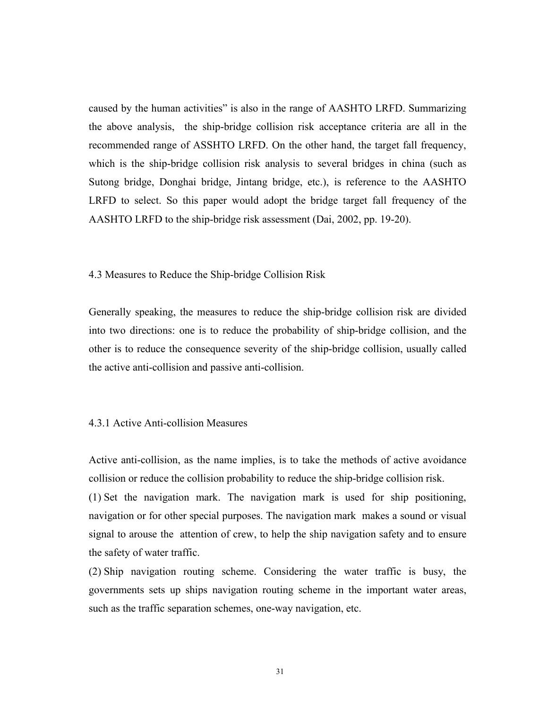caused by the human activities" is also in the range of AASHTO LRFD. Summarizing the above analysis, the ship-bridge collision risk acceptance criteria are allin the recommended range of ASSHTO LRFD. On the other hand, the target fall frequency, which is the ship-bridge collision risk analysis to several bridges in china (such as Sutong bridge, Donghai bridge, Jintang bridge, etc.), is reference to the AASHTO LRFD to select. So this paper would adopt the bridge target fall frequency of the AASHTO LRFD to the ship-bridge risk assessment (Dai, 2002, pp. 19-20).

#### 4.3 Measures to Reduce the Ship-bridge Collision Risk

Generally speaking, the measures to reduce the ship-bridge collision risk are divided into two directions: one is to reduce the probability of ship-bridge collision, and the other is to reduce the consequence severity of the ship-bridge collision, usually called the active anti-collision and passive anti-collision.

#### 4.3.1 Active Anti-collision Measures

Active anti-collision, as the name implies, is to take the methods of active avoidance collision or reduce the collision probability to reduce the ship-bridge collision risk.

(1) Set the navigation mark. The navigation mark is used for ship positioning, navigation or for other special purposes. The navigation mark makes a sound or visual signal to arouse the attention of crew, to help the ship navigation safety and to ensure the safety of water traffic.

(2) Ship navigation routing scheme. Considering the water traffic is busy, the governments sets up ships navigation routing scheme in the important water areas, such as the traffic separation schemes, one-way navigation, etc.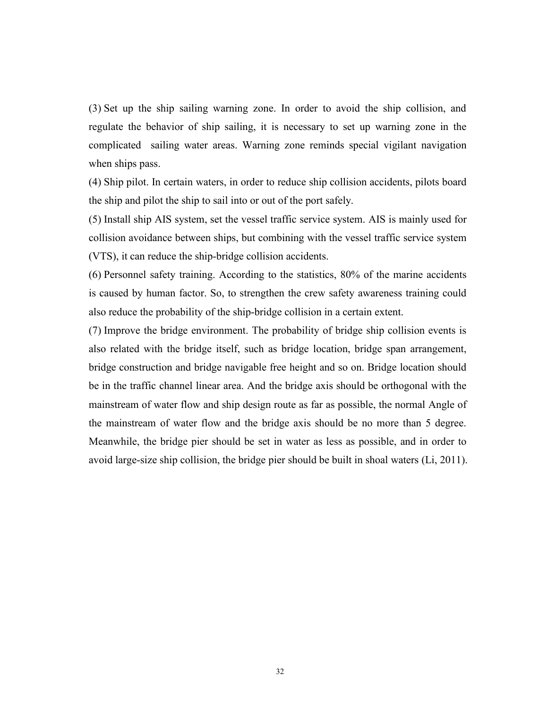(3) Set up the ship sailing warning zone. In order to avoid the ship collision, and regulate the behavior of ship sailing, it is necessary to set up warning zone in the complicated sailing water areas. Warning zone reminds special vigilant navigation when ships pass.

(4) Ship pilot. In certain waters, in order to reduce ship collision accidents, pilots board the ship and pilot the ship to sail into or out of the port safely.

(5) Install ship AIS system, set the vessel traffic service system. AIS is mainly used for collision avoidance between ships, but combining with the vessel traffic service system (VTS), it can reduce the ship-bridge collision accidents.

(6) Personnel safety training. According to the statistics, 80% of the marine accidents is caused by human factor. So, to strengthen the crew safety awareness training could also reduce the probability of the ship-bridge collision in a certain extent.

(7) Improve the bridge environment. The probability of bridge ship collision events is also related with the bridge itself, such as bridge location, bridge span arrangement, bridge construction and bridge navigable free height and so on. Bridge location should be in the traffic channel linear area. And the bridge axis should be orthogonal with the mainstream of water flow and ship design route as far as possible, the normal Angle of the mainstream of water flow and the bridge axis should be no more than 5 degree. Meanwhile, the bridge pier should be set in water as less as possible, and in order to avoid large-size ship collision, the bridge pier should be built in shoal waters (Li, 2011).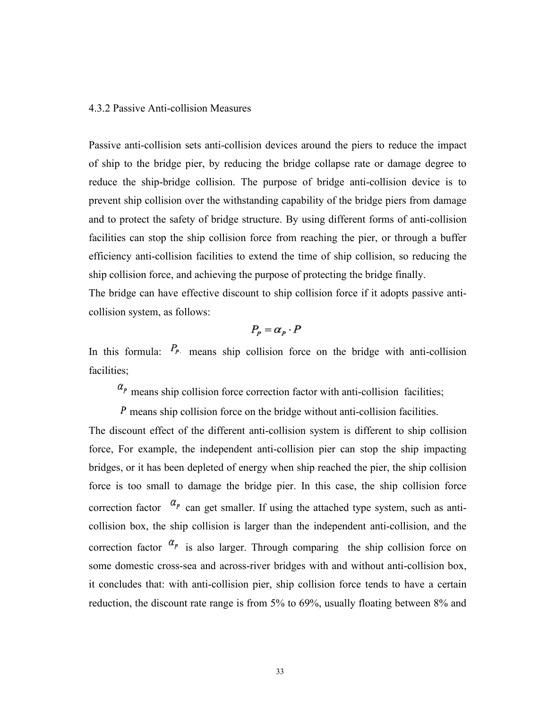#### 4.3.2 Passive Anti-collision Measures

Passive anti-collision sets anti-collision devices around the piers to reduce the impact of ship to the bridge pier, by reducing the bridge collapse rate or damage degree to reduce the ship-bridge collision. The purpose of bridge anti-collision device is to prevent ship collision over the withstanding capability of the bridge piers from damage and to protect the safety of bridge structure. By using different forms of anti-collision facilities can stop the ship collision force from reaching the pier, or through a buffer efficiency anti-collision facilities to extend the time of ship collision, so reducing the ship collision force, and achieving the purpose of protecting the bridge finally.

The bridge can have effective discount to ship collision force if it adopts passive anticollision system, as follows:

$$
P_p = \alpha_p \cdot P
$$

In this formula:  $P_{P}$  means ship collision force on the bridge with anti-collision facilities;

 $\alpha_{P}$  means ship collision force correction factor with anti-collision facilities;

 $\hat{P}$  means ship collision force on the bridge without anti-collision facilities.

The discount effect of the different anti-collision system is different to ship collision force, For example, the independent anti-collision pier can stop the ship impacting bridges, or it has been depleted of energy when ship reached the pier, the ship collision force is too small to damage the bridge pier. In this case, the ship collision force correction factor  $\alpha_p$  can get smaller. If using the attached type system, such as anticollision box, the ship collision is larger than the independent anti-collision, and the correction factor  $\alpha_p$  is also larger. Through comparing the ship collision force on some domestic cross-sea and across-river bridges with and without anti-collision box, it concludes that: with anti-collision pier, ship collision force tends to have a certain reduction, the discount rate range is from 5% to 69%, usually floating between 8% and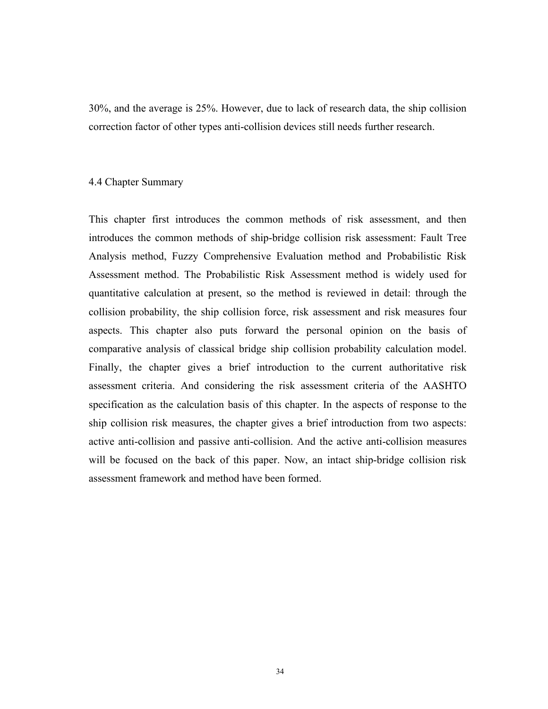30%, and the average is 25%. However, due to lack of research data, the ship collision correction factor of other types anti-collision devices still needs further research.

#### 4.4 Chapter Summary

This chapter first introduces the common methods of risk assessment, and then introduces the common methods of ship-bridge collision risk assessment: Fault Tree Analysis method, Fuzzy Comprehensive Evaluation method and Probabilistic Risk Assessment method. The Probabilistic Risk Assessment method is widely used for quantitative calculation at present, so the method is reviewed in detail: through the collision probability, the ship collision force, risk assessment and risk measures four aspects. This chapter also puts forward the personal opinion on the basis of comparative analysis of classical bridge ship collision probability calculation model. Finally, the chapter gives a brief introduction to the current authoritative risk assessment criteria. And considering the risk assessment criteria of the AASHTO specification as the calculation basis of this chapter. In the aspects of response to the ship collision risk measures, the chapter gives a brief introduction from two aspects: active anti-collision and passive anti-collision. And the active anti-collision measures will be focused on the back of this paper. Now, an intact ship-bridge collision risk assessment framework and method have been formed.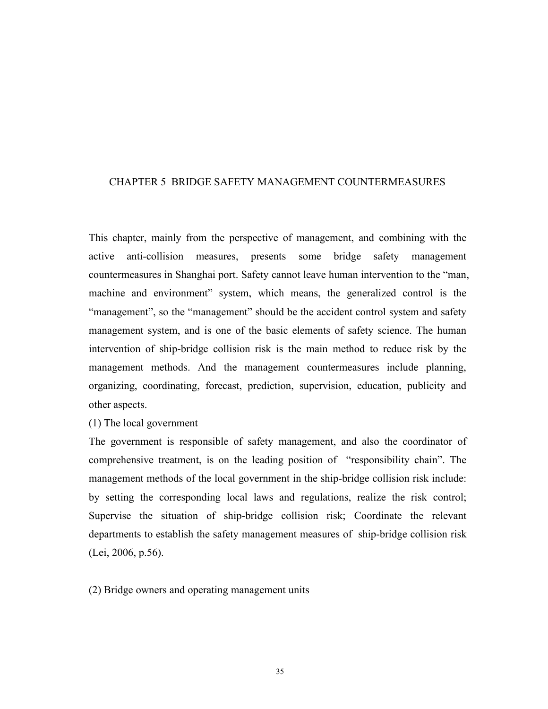### CHAPTER 5 BRIDGE SAFETY MANAGEMENT COUNTERMEASURES

This chapter, mainly from the perspective of management, and combining with the active anti-collision measures, presents some bridge safety management countermeasures in Shanghai port. Safety cannot leave human intervention to the "man, machine and environment" system, which means, the generalized control is the "management", so the "management" should be the accident control system and safety management system, and is one of the basic elements of safety science. The human intervention of ship-bridge collision risk is the main method to reduce risk by the management methods. And the management countermeasures include planning, organizing, coordinating, forecast, prediction, supervision, education, publicity and other aspects.

(1) The local government

The government is responsible of safety management, and also the coordinator of comprehensive treatment, is on the leading position of "responsibility chain". The management methods of the local government in the ship-bridge collision risk include: by setting the corresponding local laws and regulations, realize the risk control; Supervise the situation of ship-bridge collision risk; Coordinate the relevant departments to establish the safety management measures of ship-bridge collision risk (Lei, 2006, p.56).

(2) Bridge owners and operating management units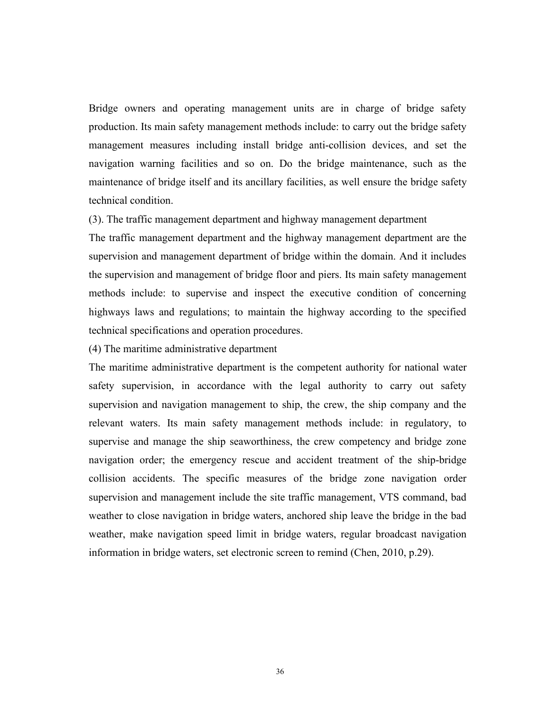Bridge owners and operating management units are in charge of bridge safety production. Its main safety management methods include: to carry out the bridge safety management measures including install bridge anti-collision devices, and set the navigation warning facilities and so on. Do the bridge maintenance, such as the maintenance of bridge itself and its ancillary facilities, as well ensure the bridge safety technical condition.

(3). The traffic management department and highway management department

The traffic management department and the highway management department are the supervision and management department of bridge within the domain. And it includes the supervision and management of bridge floor and piers. Its main safety management methods include: to supervise and inspect the executive condition of concerning highways laws and regulations; to maintain the highway according to the specified technical specifications and operation procedures.

(4) The maritime administrative department

The maritime administrative department is the competent authority for national water safety supervision, in accordance with the legal authority to carry out safety supervision and navigation management to ship, the crew, the ship company and the relevant waters. Its main safety management methods include: in regulatory, to supervise and manage the ship seaworthiness, the crew competency and bridge zone navigation order; the emergency rescue and accident treatment of the ship-bridge collision accidents. The specific measures of the bridge zone navigation order supervision and management include the site traffic management, VTS command, bad weather to close navigation in bridge waters, anchored ship leave the bridge in the bad weather, make navigation speed limit in bridge waters, regular broadcast navigation information in bridge waters, set electronic screen to remind (Chen, 2010, p.29).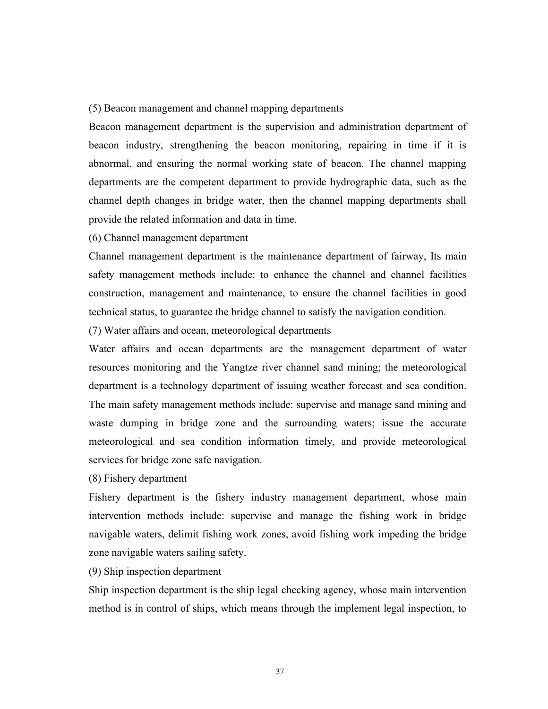#### (5) Beacon management and channel mapping departments

Beacon management department is the supervision and administration department of beacon industry, strengthening the beacon monitoring, repairing in time if it is abnormal, and ensuring the normal working state of beacon. The channel mapping departments are the competent department to provide hydrographic data, such as the channel depth changes in bridge water, then the channel mapping departments shall provide the related information and data in time.

#### (6) Channel management department

Channel management department is the maintenance department of fairway, Its main safety management methods include: to enhance the channel and channel facilities construction, management and maintenance, to ensure the channel facilities in good technical status, to guarantee the bridge channel to satisfy the navigation condition.

(7) Water affairs and ocean, meteorological departments

Water affairs and ocean departments are the management department of water resources monitoring and the Yangtze river channel sand mining; the meteorological department is a technology department of issuing weather forecast and sea condition. The main safety management methods include: supervise and manage sand mining and waste dumping in bridge zone and the surrounding waters; issue the accurate meteorological and sea condition information timely, and provide meteorological services for bridge zone safe navigation.

(8) Fishery department

Fishery department is the fishery industry management department, whose main intervention methods include: supervise and manage the fishing work in bridge navigable waters, delimit fishing work zones, avoid fishing work impeding the bridge zone navigable waters sailing safety.

(9) Ship inspection department

Ship inspection department is the ship legal checking agency, whose main intervention method is in control of ships, which means through the implement legal inspection, to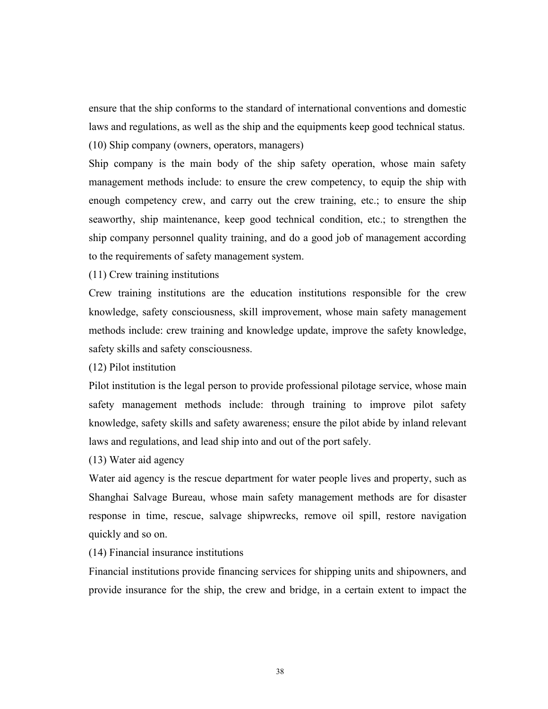ensure that the ship conforms to the standard of international conventions and domestic laws and regulations, as well as the ship and the equipments keep good technical status.

(10) Ship company (owners, operators, managers)

Ship company is the main body of the ship safety operation, whose main safety management methods include: to ensure the crew competency, to equip the ship with enough competency crew, and carry out the crew training, etc.; to ensure the ship seaworthy, ship maintenance, keep good technical condition, etc.; to strengthen the ship company personnel quality training, and do a good job of management according to the requirements of safety management system.

(11) Crew training institutions

Crew training institutions are the education institutions responsible for the crew knowledge, safety consciousness, skill improvement, whose main safety management methods include: crew training and knowledge update, improve the safety knowledge, safety skills and safety consciousness.

(12) Pilot institution

Pilot institution is the legal person to provide professional pilotage service, whose main safety management methods include: through training to improve pilot safety knowledge, safety skills and safety awareness; ensure the pilot abide by inland relevant laws and regulations, and lead ship into and out of the port safely.

(13) Water aid agency

Water aid agency is the rescue department for water people lives and property, such as Shanghai Salvage Bureau, whose main safety management methods are for disaster response in time, rescue, salvage shipwrecks, remove oil spill, restore navigation quickly and so on.

(14) Financial insurance institutions

Financial institutions provide financing services for shipping units and shipowners, and provide insurance for the ship, the crew and bridge, in a certain extent to impact the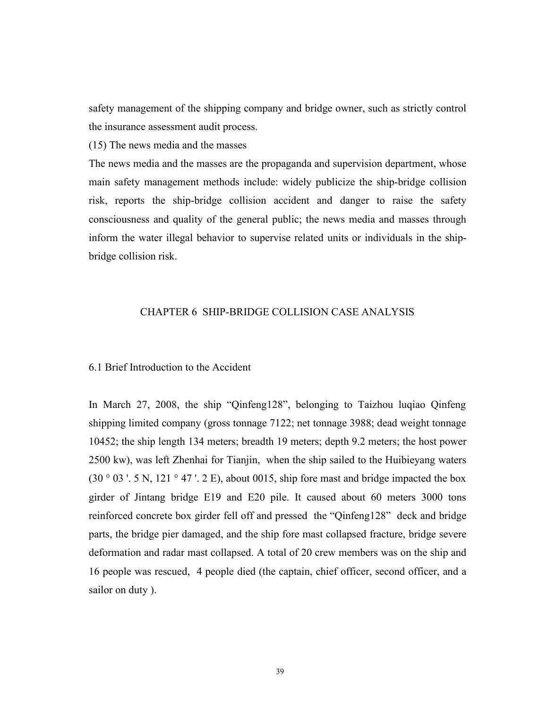safety management of the shipping company and bridge owner, such as strictly control the insurance assessment audit process.

(15) The news media and the masses

The news media and the masses are the propaganda and supervision department, whose main safety management methods include: widely publicize the ship-bridge collision risk, reports the ship-bridge collision accident and danger to raise the safety consciousness and quality of the general public; the news media and masses through inform the water illegal behavior to supervise related units or individuals in the shipbridge collision risk.

#### CHAPTER 6 SHIP-BRIDGE COLLISION CASE ANALYSIS

#### 6.1 Brief Introduction to the Accident

In March 27, 2008, the ship "Qinfeng128", belonging to Taizhou luqiao Qinfeng shipping limited company (gross tonnage 7122; net tonnage 3988; dead weight tonnage 10452; the ship length 134 meters; breadth 19 meters; depth 9.2 meters; the host power 2500 kw), was left Zhenhai for Tianjin, when the ship sailed to the Huibieyang waters  $(30°03'. 5 N, 121°47'. 2 E)$ , about 0015, ship fore mast and bridge impacted the box girder of Jintang bridge E19 and E20 pile. It caused about 60 meters 3000 tons reinforced concrete box girder fell off and pressed the "Qinfeng128" deck and bridge parts, the bridge pier damaged, and the ship fore mast collapsed fracture, bridge severe deformation and radar mast collapsed. A total of 20 crew members was on the ship and 16 people was rescued, 4 people died (the captain, chief officer, second officer, and a sailor on duty ).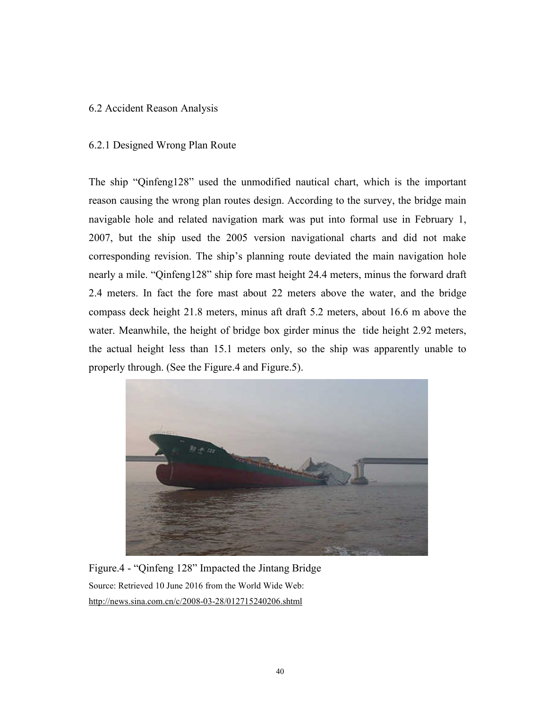### 6.2 Accident Reason Analysis

### 6.2.1 Designed Wrong Plan Route

The ship "Qinfeng128" used the unmodified nautical chart, which is the important reason causing the wrong plan routes design. According to the survey, the bridge main navigable hole and related navigation mark was put into formal use in February 1, 2007, but the ship used the 2005 version navigational charts and did not make corresponding revision. The ship's planning route deviated the main navigation hole nearly a mile. "Qinfeng128" ship fore mast height 24.4 meters, minus the forward draft 2.4 meters. In fact the fore mast about 22 meters above the water, and the bridge compass deck height 21.8 meters, minus aft draft 5.2 meters, about 16.6 m above the water. Meanwhile, the height of bridge box girder minus the tide height 2.92 meters, the actual height less than 15.1 meters only, so the ship was apparently unable to properly through. (See the Figure.4 and Figure.5).



Figure.4 - "Qinfeng 128" Impacted the Jintang Bridge Source: Retrieved 10 June 2016 from the World Wide Web: http://news.sina.com.cn/c/2008-03-28/012715240206.shtml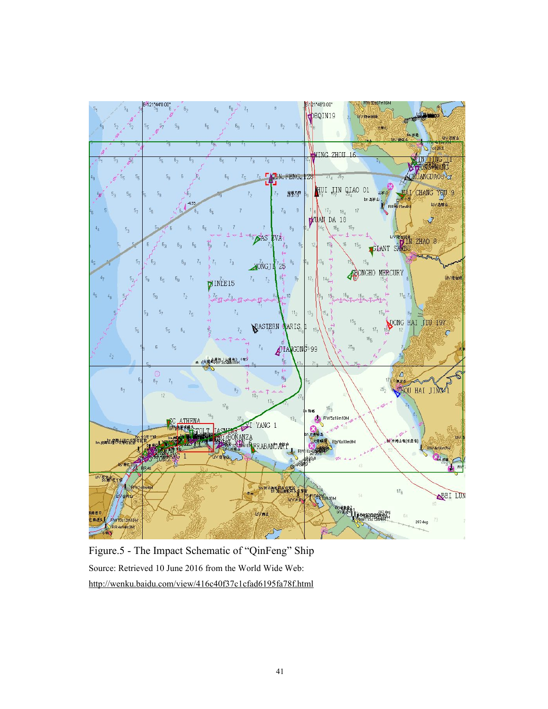

Figure.5 - The Impact Schematic of "QinFeng" Ship Source: Retrieved 10 June 2016 from the World Wide Web: http://wenku.baidu.com/view/416c40f37c1cfad6195fa78f.html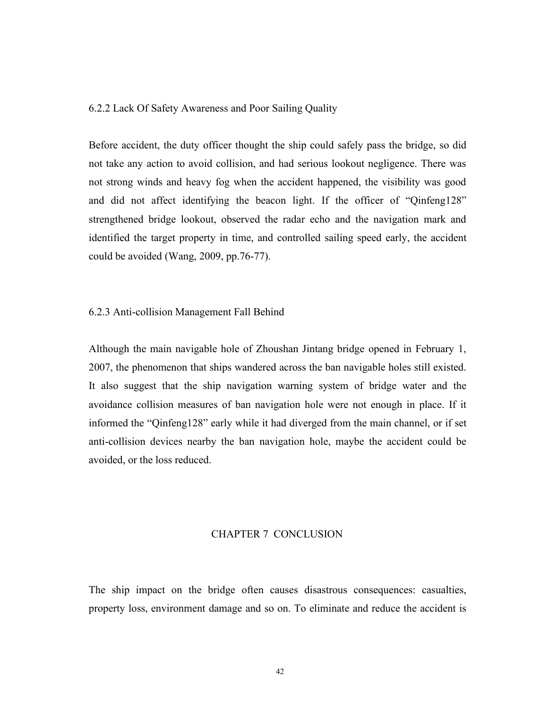#### 6.2.2 Lack Of Safety Awareness and Poor Sailing Quality

Before accident, the duty officer thought the ship could safely pass the bridge, so did not take any action to avoid collision, and had serious lookout negligence. There was not strong winds and heavy fog when the accident happened, the visibility was good and did not affect identifying the beacon light. If the officer of "Qinfeng128" strengthened bridge lookout, observed the radar echo and the navigation mark and identified the target property in time, and controlled sailing speed early, the accident could be avoided (Wang, 2009, pp.76-77).

#### 6.2.3 Anti-collision Management Fall Behind

Although the main navigable hole of Zhoushan Jintang bridge opened in February 1, 2007, the phenomenon that ships wandered across the ban navigable holes still existed. It also suggest that the ship navigation warning system of bridge water and the avoidance collision measures of ban navigation hole were not enough in place. If it informed the "Qinfeng128" early while it had diverged from the main channel, or if set anti-collision devices nearby the ban navigation hole, maybe the accident could be avoided, or the loss reduced.

#### CHAPTER 7 CONCLUSION

The ship impact on the bridge often causes disastrous consequences: casualties, property loss, environment damage and so on. To eliminate and reduce the accident is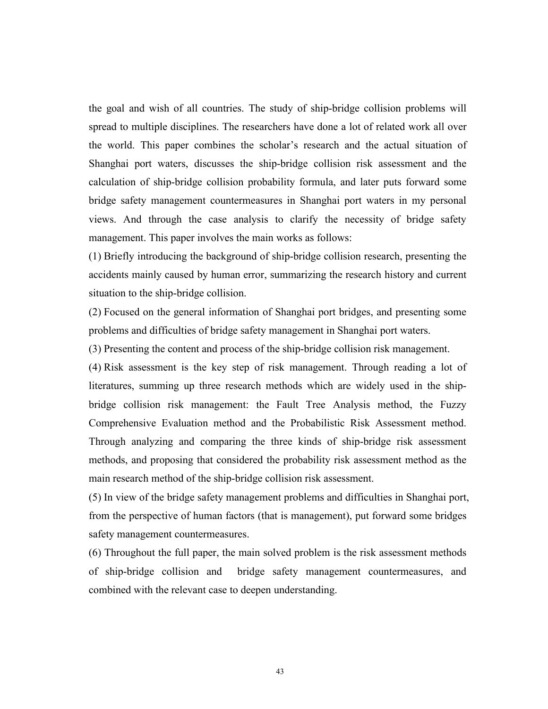the goal and wish of all countries. The study of ship-bridge collision problems will spread to multiple disciplines. The researchers have done a lot of related work all over the world. This paper combines the scholar's research and the actual situation of Shanghai port waters, discusses the ship-bridge collision risk assessment and the calculation of ship-bridge collision probability formula, and later puts forward some bridge safety management countermeasures in Shanghai port waters in my personal views. And through the case analysis to clarify the necessity of bridge safety management. This paper involves the main works as follows:

(1) Briefly introducing the background of ship-bridge collision research, presenting the accidents mainly caused by human error, summarizing the research history and current situation to the ship-bridge collision.

(2) Focused on the general information of Shanghai port bridges, and presenting some problems and difficulties of bridge safety management in Shanghai port waters.

(3) Presenting the content and process of the ship-bridge collision risk management.

(4) Risk assessment is the key step of risk management. Through reading a lot of literatures, summing up three research methods which are widely used in the shipbridge collision risk management: the Fault Tree Analysis method, the Fuzzy Comprehensive Evaluation method and the Probabilistic Risk Assessment method. Through analyzing and comparing the three kinds of ship-bridge risk assessment methods, and proposing that considered the probability risk assessment method as the main research method of the ship-bridge collision risk assessment.

(5) In view of the bridge safety management problems and difficulties in Shanghai port, from the perspective of human factors (that is management), put forward some bridges safety management countermeasures.

(6) Throughout the full paper, the main solved problem is the risk assessment methods of ship-bridge collision and bridge safety management countermeasures, and combined with the relevant case to deepen understanding.

43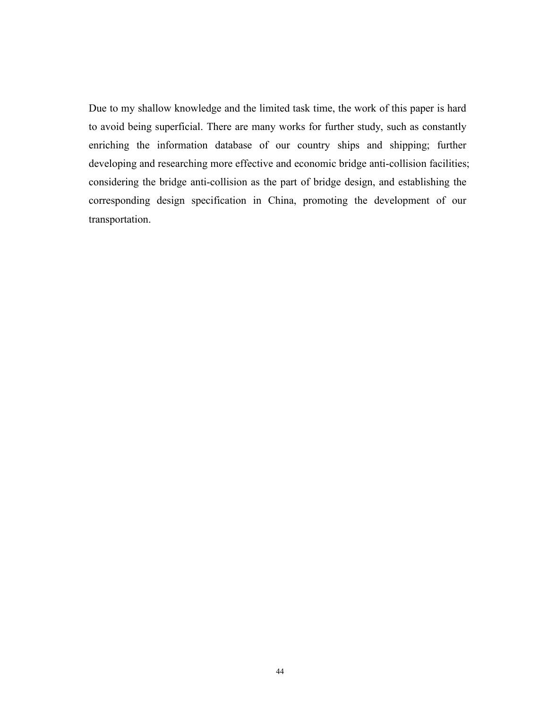Due to my shallow knowledge and the limited task time, the work of this paper is hard to avoid being superficial.There are many works for further study, such as constantly enriching the information database of our country ships and shipping; further developing and researching more effective and economic bridge anti-collision facilities; considering the bridge anti-collision as the part of bridge design, and establishing the corresponding design specification in China, promoting the development of our transportation.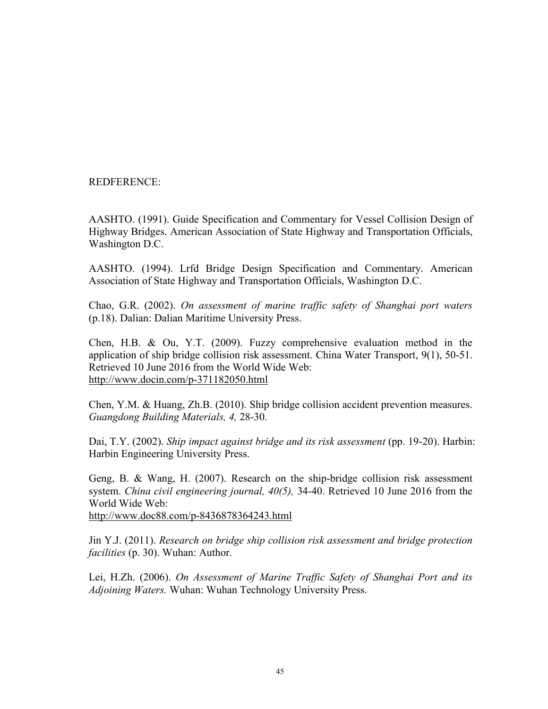REDFERENCE:

AASHTO. (1991). Guide Specification and Commentary for Vessel Collision Design of Highway Bridges. American Association of State Highway and Transportation Officials, Washington D.C.

AASHTO. (1994). Lrfd Bridge Design Specification and Commentary. American Association of State Highway and Transportation Officials, Washington D.C.

Chao, G.R. (2002). *On assessment of marine traffic safety of Shanghai port waters* (p.18). Dalian: Dalian Maritime University Press.

Chen, H.B. & Ou, Y.T. (2009). Fuzzy comprehensive evaluation method in the application of ship bridge collision risk assessment. China Water Transport, 9(1), 50-51. Retrieved 10 June 2016 from the World Wide Web: <http://www.docin.com/p-371182050.html>

Chen, Y.M. & Huang, Zh.B. (2010). Ship bridge collision accident prevention measures. *Guangdong Building Materials, 4,* 28-30.

Dai, T.Y. (2002). *Ship impact against bridge and its risk assessment* (pp. 19-20). Harbin: Harbin Engineering University Press.

Geng, B. & Wang, H. (2007). Research on the ship-bridge collision risk assessment system. *China civil engineering journal, 40(5),* 34-40. Retrieved 10 June 2016 from the World Wide Web: <http://www.doc88.com/p-8436878364243.html>

Jin Y.J. (2011). *Research on bridge ship collision risk assessment and bridge protection facilities* (p. 30). Wuhan: Author.

Lei, H.Zh. (2006). *On Assessment of Marine Traffic Safety of Shanghai Port and its Adjoining Waters.* Wuhan: Wuhan Technology University Press.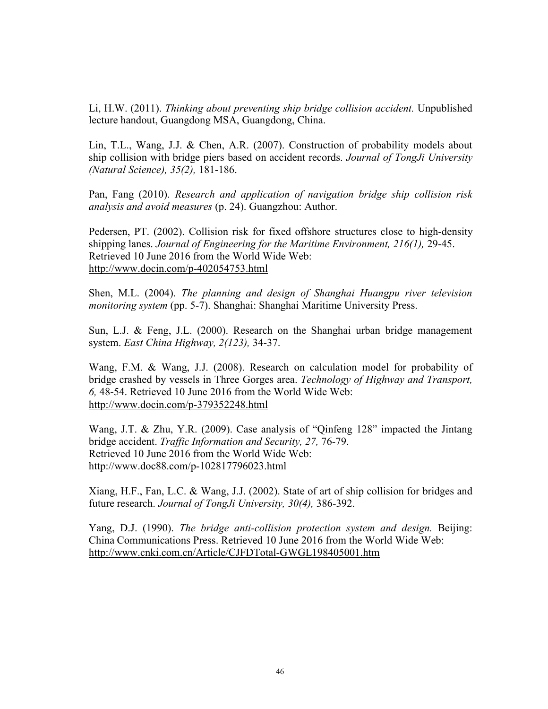Li, H.W. (2011). *Thinking about preventing ship bridge collision accident.* Unpublished lecture handout, Guangdong MSA, Guangdong, China.

Lin, T.L., Wang, J.J. & Chen, A.R. (2007). Construction of probability models about ship collision with bridge piers based on accident records. *Journal of TongJi University (Natural Science), 35(2),* 181-186.

Pan, Fang (2010). *Research and application of navigation bridge ship collision risk analysis and avoid measures* (p. 24). Guangzhou: Author.

Pedersen, PT. (2002). Collision risk for fixed offshore structures close to high-density shipping lanes. *Journal of Engineering for the Maritime Environment, 216(1),* 29-45. Retrieved 10 June 2016 from the World Wide Web: http://www.docin.com/p-402054753.html

Shen, M.L. (2004). *The planning and design of Shanghai Huangpu river television monitoring system* (pp. 5-7). Shanghai: Shanghai Maritime University Press.

Sun, L.J. & Feng, J.L. (2000). Research on the Shanghai urban bridge management system. *East China Highway, 2(123),* 34-37.

Wang, F.M. & Wang, J.J. (2008). Research on calculation model for probability of bridge crashed by vessels in Three Gorges area. *Technology of Highway and Transport, 6,* 48-54. Retrieved 10 June 2016 from the World Wide Web: http://www.docin.com/p-379352248.html

Wang, J.T. & Zhu, Y.R. (2009). Case analysis of "Qinfeng 128" impacted the Jintang bridge accident. *Traffic Information and Security, 27,* 76-79. Retrieved 10 June 2016 from the World Wide Web: http://www.doc88.com/p-102817796023.html

Xiang, H.F., Fan, L.C. & Wang, J.J. (2002). State of art of ship collision for bridges and future research. *Journal of TongJi University, 30(4),* 386-392.

Yang, D.J. (1990). *The bridge anti-collision protection system and design.* Beijing: China Communications Press. Retrieved 10 June 2016 from the World Wide Web: <http://www.cnki.com.cn/Article/CJFDTotal-GWGL198405001.htm>